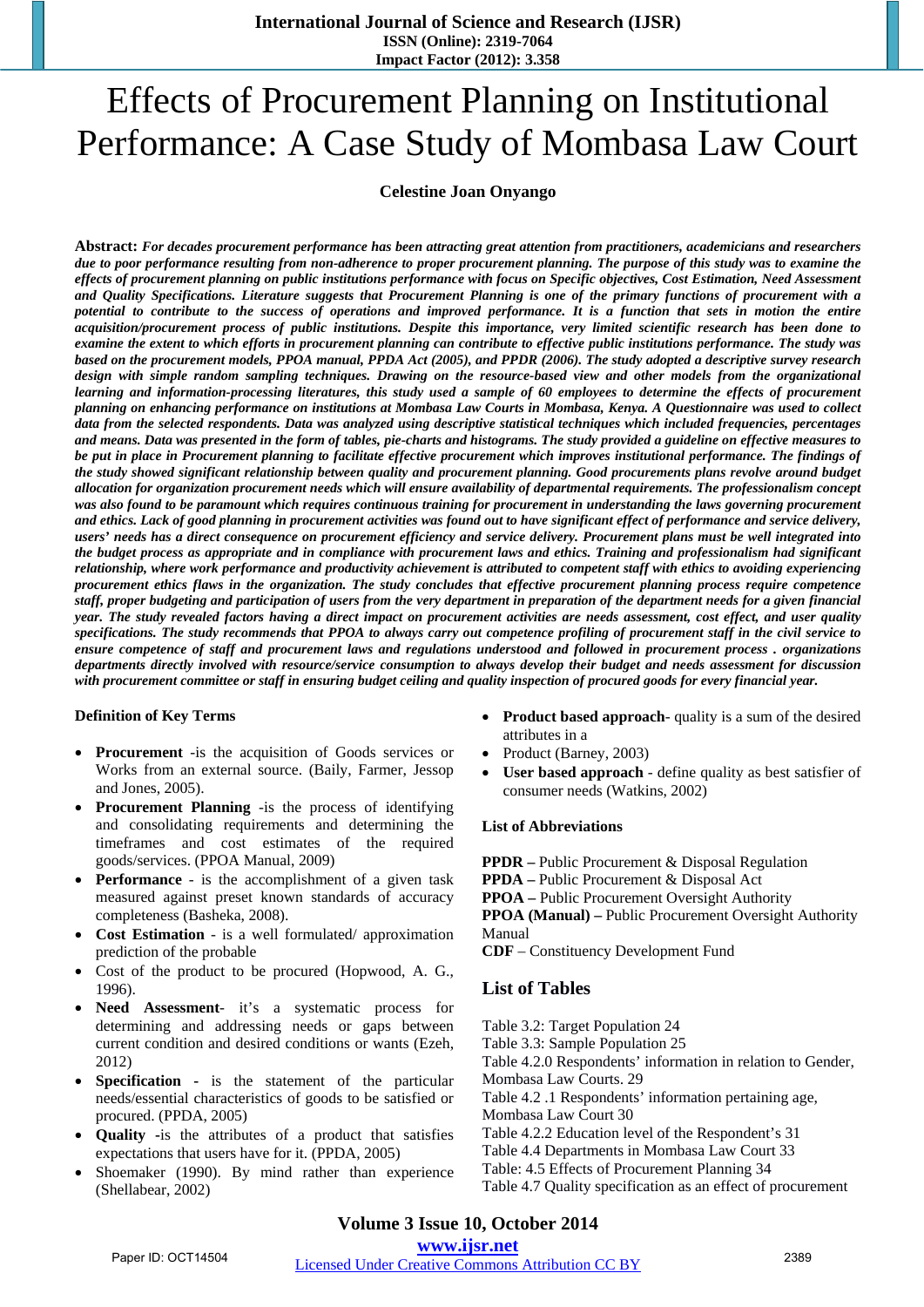# Effects of Procurement Planning on Institutional Performance: A Case Study of Mombasa Law Court

#### **Celestine Joan Onyango**

**Abstract:** *For decades procurement performance has been attracting great attention from practitioners, academicians and researchers due to poor performance resulting from non-adherence to proper procurement planning. The purpose of this study was to examine the effects of procurement planning on public institutions performance with focus on Specific objectives, Cost Estimation, Need Assessment and Quality Specifications. Literature suggests that Procurement Planning is one of the primary functions of procurement with a potential to contribute to the success of operations and improved performance. It is a function that sets in motion the entire acquisition/procurement process of public institutions. Despite this importance, very limited scientific research has been done to examine the extent to which efforts in procurement planning can contribute to effective public institutions performance. The study was based on the procurement models, PPOA manual, PPDA Act (2005), and PPDR (2006). The study adopted a descriptive survey research design with simple random sampling techniques. Drawing on the resource-based view and other models from the organizational learning and information-processing literatures, this study used a sample of 60 employees to determine the effects of procurement planning on enhancing performance on institutions at Mombasa Law Courts in Mombasa, Kenya. A Questionnaire was used to collect data from the selected respondents. Data was analyzed using descriptive statistical techniques which included frequencies, percentages and means. Data was presented in the form of tables, pie-charts and histograms. The study provided a guideline on effective measures to be put in place in Procurement planning to facilitate effective procurement which improves institutional performance. The findings of the study showed significant relationship between quality and procurement planning. Good procurements plans revolve around budget allocation for organization procurement needs which will ensure availability of departmental requirements. The professionalism concept was also found to be paramount which requires continuous training for procurement in understanding the laws governing procurement and ethics. Lack of good planning in procurement activities was found out to have significant effect of performance and service delivery, users' needs has a direct consequence on procurement efficiency and service delivery. Procurement plans must be well integrated into the budget process as appropriate and in compliance with procurement laws and ethics. Training and professionalism had significant relationship, where work performance and productivity achievement is attributed to competent staff with ethics to avoiding experiencing procurement ethics flaws in the organization. The study concludes that effective procurement planning process require competence staff, proper budgeting and participation of users from the very department in preparation of the department needs for a given financial year. The study revealed factors having a direct impact on procurement activities are needs assessment, cost effect, and user quality specifications. The study recommends that PPOA to always carry out competence profiling of procurement staff in the civil service to ensure competence of staff and procurement laws and regulations understood and followed in procurement process . organizations departments directly involved with resource/service consumption to always develop their budget and needs assessment for discussion with procurement committee or staff in ensuring budget ceiling and quality inspection of procured goods for every financial year.* 

#### **Definition of Key Terms**

- **Procurement** -is the acquisition of Goods services or Works from an external source. (Baily, Farmer, Jessop and Jones, 2005).
- **Procurement Planning** -is the process of identifying and consolidating requirements and determining the timeframes and cost estimates of the required goods/services. (PPOA Manual, 2009)
- **Performance** is the accomplishment of a given task measured against preset known standards of accuracy completeness (Basheka, 2008).
- **Cost Estimation**  is a well formulated/ approximation prediction of the probable
- Cost of the product to be procured (Hopwood, A. G., 1996).
- **Need Assessment** it's a systematic process for determining and addressing needs or gaps between current condition and desired conditions or wants (Ezeh, 2012)
- **Specification** is the statement of the particular needs/essential characteristics of goods to be satisfied or procured. (PPDA, 2005)
- **Quality -**is the attributes of a product that satisfies expectations that users have for it. (PPDA, 2005)
- Shoemaker (1990). By mind rather than experience (Shellabear, 2002)
- **Product based approach** quality is a sum of the desired attributes in a
- Product (Barney, 2003)
- **User based approach**  define quality as best satisfier of consumer needs (Watkins, 2002)

#### **List of Abbreviations**

**PPDR** – Public Procurement & Disposal Regulation **PPDA –** Public Procurement & Disposal Act **PPOA –** Public Procurement Oversight Authority **PPOA (Manual) –** Public Procurement Oversight Authority Manual **CDF** – Constituency Development Fund

#### **List of Tables**

Table 3.2: Target Population 24 Table 3.3: Sample Population 25 Table 4.2.0 Respondents' information in relation to Gender, Mombasa Law Courts. 29 Table 4.2 .1 Respondents' information pertaining age, Mombasa Law Court 30 Table 4.2.2 Education level of the Respondent's 31 Table 4.4 Departments in Mombasa Law Court 33 Table: 4.5 Effects of Procurement Planning 34 Table 4.7 Quality specification as an effect of procurement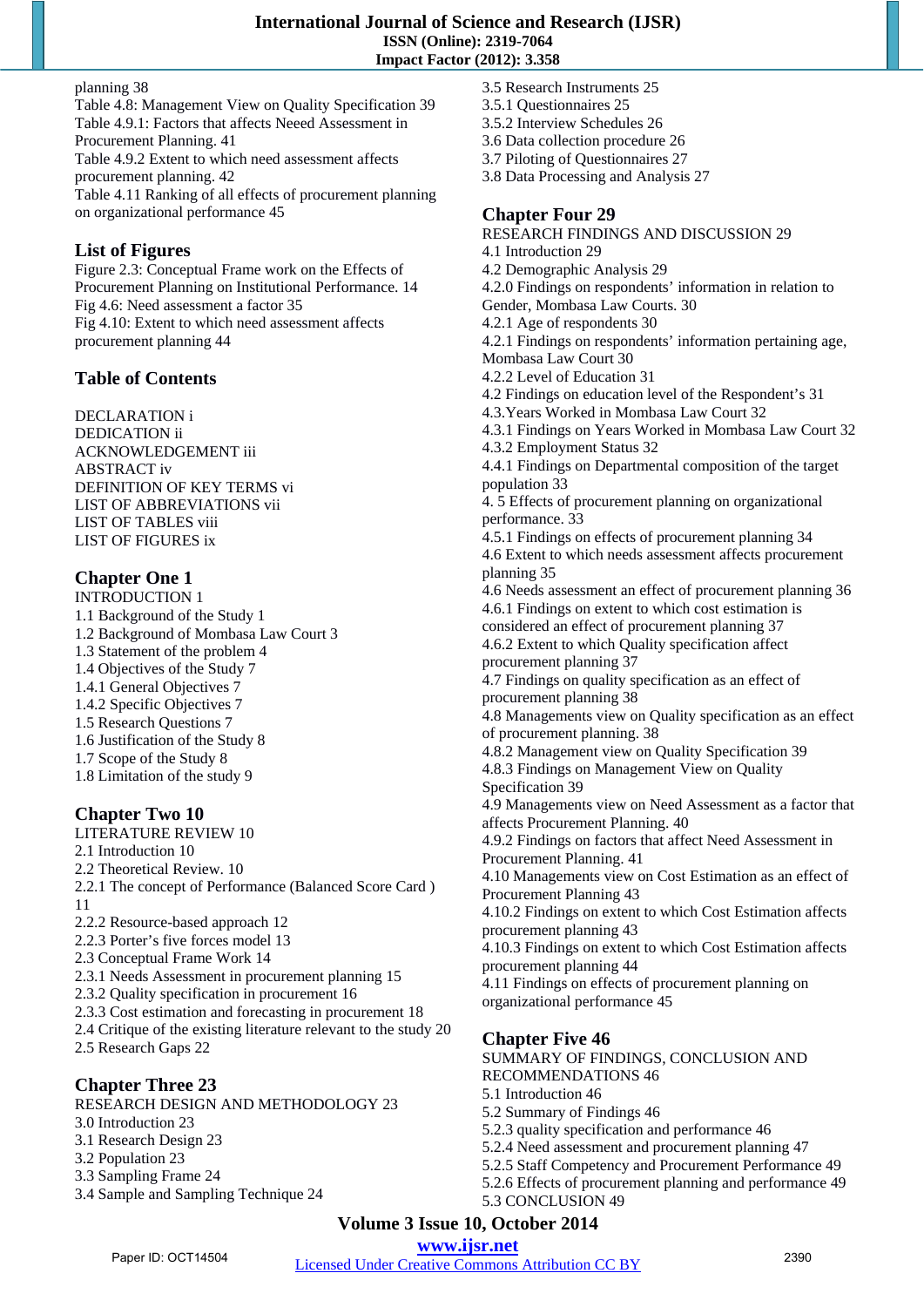#### planning 38

Table 4.8: Management View on Quality Specification 39 Table 4.9.1: Factors that affects Neeed Assessment in Procurement Planning. 41 Table 4.9.2 Extent to which need assessment affects procurement planning. 42 Table 4.11 Ranking of all effects of procurement planning on organizational performance 45

# **List of Figures**

Figure 2.3: Conceptual Frame work on the Effects of Procurement Planning on Institutional Performance. 14 Fig 4.6: Need assessment a factor 35 Fig 4.10: Extent to which need assessment affects procurement planning 44

# **Table of Contents**

DECLARATION i DEDICATION ii ACKNOWLEDGEMENT iii ABSTRACT iv DEFINITION OF KEY TERMS vi LIST OF ABBREVIATIONS vii LIST OF TABLES viii LIST OF FIGURES ix

# **Chapter One 1**

INTRODUCTION 1 1.1 Background of the Study 1 1.2 Background of Mombasa Law Court 3 1.3 Statement of the problem 4 1.4 Objectives of the Study 7 1.4.1 General Objectives 7 1.4.2 Specific Objectives 7 1.5 Research Questions 7 1.6 Justification of the Study 8 1.7 Scope of the Study 8 1.8 Limitation of the study 9 **Chapter Two 10** 

LITERATURE REVIEW 10 2.1 Introduction 10 2.2 Theoretical Review. 10 2.2.1 The concept of Performance (Balanced Score Card ) 11 2.2.2 Resource-based approach 12 2.2.3 Porter's five forces model 13 2.3 Conceptual Frame Work 14

2.3.1 Needs Assessment in procurement planning 15

2.3.2 Quality specification in procurement 16

2.3.3 Cost estimation and forecasting in procurement 18

2.4 Critique of the existing literature relevant to the study 20 2.5 Research Gaps 22

# **Chapter Three 23**

RESEARCH DESIGN AND METHODOLOGY 23 3.0 Introduction 23 3.1 Research Design 23 3.2 Population 23

- 3.3 Sampling Frame 24
- 3.4 Sample and Sampling Technique 24
- 3.5 Research Instruments 25
- 3.5.1 Questionnaires 25
- 3.5.2 Interview Schedules 26
- 3.6 Data collection procedure 26
- 3.7 Piloting of Questionnaires 27
- 3.8 Data Processing and Analysis 27

# **Chapter Four 29**

RESEARCH FINDINGS AND DISCUSSION 29 4.1 Introduction 29 4.2 Demographic Analysis 29 4.2.0 Findings on respondents' information in relation to Gender, Mombasa Law Courts. 30 4.2.1 Age of respondents 30 4.2.1 Findings on respondents' information pertaining age, Mombasa Law Court 30 4.2.2 Level of Education 31 4.2 Findings on education level of the Respondent's 31 4.3.Years Worked in Mombasa Law Court 32 4.3.1 Findings on Years Worked in Mombasa Law Court 32 4.3.2 Employment Status 32 4.4.1 Findings on Departmental composition of the target population 33 4. 5 Effects of procurement planning on organizational performance. 33 4.5.1 Findings on effects of procurement planning 34 4.6 Extent to which needs assessment affects procurement planning 35 4.6 Needs assessment an effect of procurement planning 36 4.6.1 Findings on extent to which cost estimation is considered an effect of procurement planning 37 4.6.2 Extent to which Quality specification affect procurement planning 37 4.7 Findings on quality specification as an effect of procurement planning 38 4.8 Managements view on Quality specification as an effect of procurement planning. 38 4.8.2 Management view on Quality Specification 39 4.8.3 Findings on Management View on Quality Specification 39 4.9 Managements view on Need Assessment as a factor that affects Procurement Planning. 40 4.9.2 Findings on factors that affect Need Assessment in Procurement Planning. 41 4.10 Managements view on Cost Estimation as an effect of Procurement Planning 43 4.10.2 Findings on extent to which Cost Estimation affects procurement planning 43 4.10.3 Findings on extent to which Cost Estimation affects procurement planning 44 4.11 Findings on effects of procurement planning on organizational performance 45

# **Chapter Five 46**

SUMMARY OF FINDINGS, CONCLUSION AND RECOMMENDATIONS 46

- 5.1 Introduction 46
- 5.2 Summary of Findings 46
- 5.2.3 quality specification and performance 46
- 5.2.4 Need assessment and procurement planning 47
- 5.2.5 Staff Competency and Procurement Performance 49
- 5.2.6 Effects of procurement planning and performance 49
- 5.3 CONCLUSION 49

# **Volume 3 Issue 10, October 2014**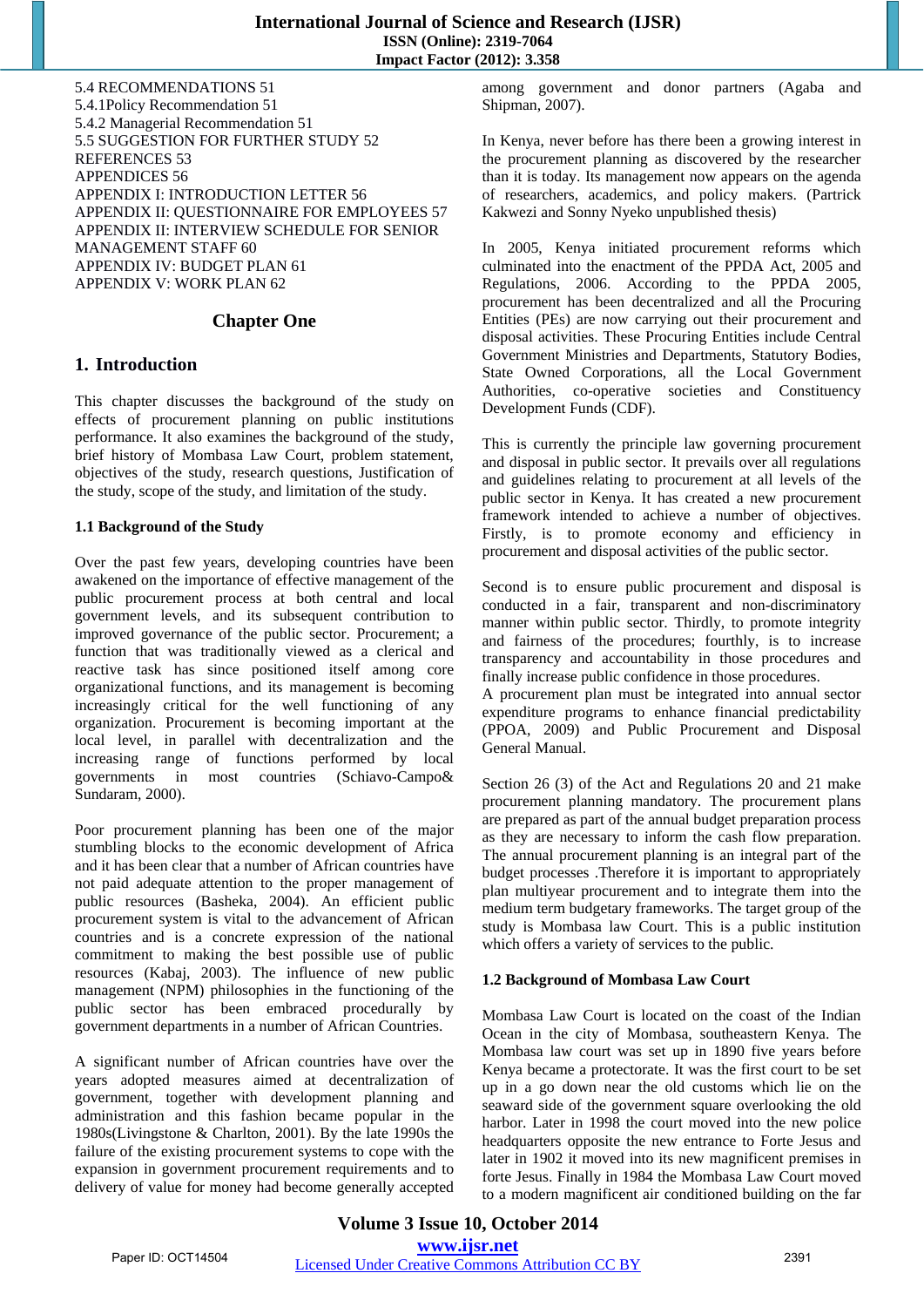5.4 RECOMMENDATIONS 51 5.4.1Policy Recommendation 51 5.4.2 Managerial Recommendation 51 5.5 SUGGESTION FOR FURTHER STUDY 52 REFERENCES 53 APPENDICES 56 APPENDIX I: INTRODUCTION LETTER 56 APPENDIX II: QUESTIONNAIRE FOR EMPLOYEES 57 APPENDIX II: INTERVIEW SCHEDULE FOR SENIOR MANAGEMENT STAFF 60 APPENDIX IV: BUDGET PLAN 61 APPENDIX V: WORK PLAN 62

#### **Chapter One**

#### **1. Introduction**

This chapter discusses the background of the study on effects of procurement planning on public institutions performance. It also examines the background of the study, brief history of Mombasa Law Court, problem statement, objectives of the study, research questions, Justification of the study, scope of the study, and limitation of the study.

#### **1.1 Background of the Study**

Over the past few years, developing countries have been awakened on the importance of effective management of the public procurement process at both central and local government levels, and its subsequent contribution to improved governance of the public sector. Procurement; a function that was traditionally viewed as a clerical and reactive task has since positioned itself among core organizational functions, and its management is becoming increasingly critical for the well functioning of any organization. Procurement is becoming important at the local level, in parallel with decentralization and the increasing range of functions performed by local governments in most countries (Schiavo-Campo& Sundaram, 2000).

Poor procurement planning has been one of the major stumbling blocks to the economic development of Africa and it has been clear that a number of African countries have not paid adequate attention to the proper management of public resources (Basheka, 2004). An efficient public procurement system is vital to the advancement of African countries and is a concrete expression of the national commitment to making the best possible use of public resources (Kabaj, 2003). The influence of new public management (NPM) philosophies in the functioning of the public sector has been embraced procedurally by government departments in a number of African Countries.

A significant number of African countries have over the years adopted measures aimed at decentralization of government, together with development planning and administration and this fashion became popular in the 1980s(Livingstone & Charlton, 2001). By the late 1990s the failure of the existing procurement systems to cope with the expansion in government procurement requirements and to delivery of value for money had become generally accepted among government and donor partners (Agaba and Shipman, 2007).

In Kenya, never before has there been a growing interest in the procurement planning as discovered by the researcher than it is today. Its management now appears on the agenda of researchers, academics, and policy makers. (Partrick Kakwezi and Sonny Nyeko unpublished thesis)

In 2005, Kenya initiated procurement reforms which culminated into the enactment of the PPDA Act, 2005 and Regulations, 2006. According to the PPDA 2005, procurement has been decentralized and all the Procuring Entities (PEs) are now carrying out their procurement and disposal activities. These Procuring Entities include Central Government Ministries and Departments, Statutory Bodies, State Owned Corporations, all the Local Government Authorities, co-operative societies and Constituency Development Funds (CDF).

This is currently the principle law governing procurement and disposal in public sector. It prevails over all regulations and guidelines relating to procurement at all levels of the public sector in Kenya. It has created a new procurement framework intended to achieve a number of objectives. Firstly, is to promote economy and efficiency in procurement and disposal activities of the public sector.

Second is to ensure public procurement and disposal is conducted in a fair, transparent and non-discriminatory manner within public sector. Thirdly, to promote integrity and fairness of the procedures; fourthly, is to increase transparency and accountability in those procedures and finally increase public confidence in those procedures.

A procurement plan must be integrated into annual sector expenditure programs to enhance financial predictability (PPOA, 2009) and Public Procurement and Disposal General Manual.

Section 26 (3) of the Act and Regulations 20 and 21 make procurement planning mandatory. The procurement plans are prepared as part of the annual budget preparation process as they are necessary to inform the cash flow preparation. The annual procurement planning is an integral part of the budget processes .Therefore it is important to appropriately plan multiyear procurement and to integrate them into the medium term budgetary frameworks. The target group of the study is Mombasa law Court. This is a public institution which offers a variety of services to the public.

#### **1.2 Background of Mombasa Law Court**

Mombasa Law Court is located on the coast of the Indian Ocean in the city of Mombasa, southeastern Kenya. The Mombasa law court was set up in 1890 five years before Kenya became a protectorate. It was the first court to be set up in a go down near the old customs which lie on the seaward side of the government square overlooking the old harbor. Later in 1998 the court moved into the new police headquarters opposite the new entrance to Forte Jesus and later in 1902 it moved into its new magnificent premises in forte Jesus. Finally in 1984 the Mombasa Law Court moved to a modern magnificent air conditioned building on the far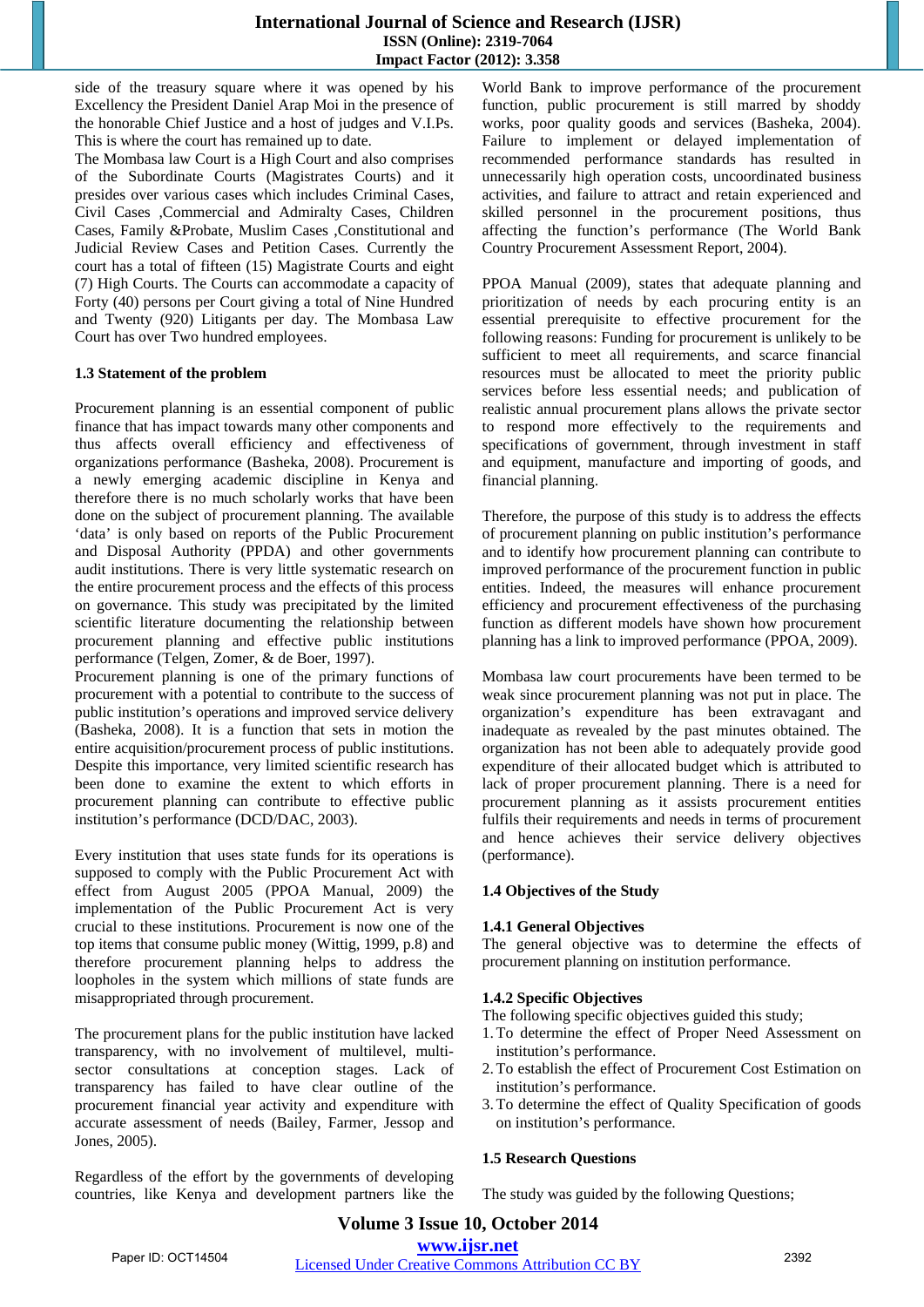side of the treasury square where it was opened by his Excellency the President Daniel Arap Moi in the presence of the honorable Chief Justice and a host of judges and V.I.Ps. This is where the court has remained up to date.

The Mombasa law Court is a High Court and also comprises of the Subordinate Courts (Magistrates Courts) and it presides over various cases which includes Criminal Cases, Civil Cases ,Commercial and Admiralty Cases, Children Cases, Family &Probate, Muslim Cases ,Constitutional and Judicial Review Cases and Petition Cases. Currently the court has a total of fifteen (15) Magistrate Courts and eight (7) High Courts. The Courts can accommodate a capacity of Forty (40) persons per Court giving a total of Nine Hundred and Twenty (920) Litigants per day. The Mombasa Law Court has over Two hundred employees.

#### **1.3 Statement of the problem**

Procurement planning is an essential component of public finance that has impact towards many other components and thus affects overall efficiency and effectiveness of organizations performance (Basheka, 2008). Procurement is a newly emerging academic discipline in Kenya and therefore there is no much scholarly works that have been done on the subject of procurement planning. The available 'data' is only based on reports of the Public Procurement and Disposal Authority (PPDA) and other governments audit institutions. There is very little systematic research on the entire procurement process and the effects of this process on governance. This study was precipitated by the limited scientific literature documenting the relationship between procurement planning and effective public institutions performance (Telgen, Zomer, & de Boer, 1997).

Procurement planning is one of the primary functions of procurement with a potential to contribute to the success of public institution's operations and improved service delivery (Basheka, 2008). It is a function that sets in motion the entire acquisition/procurement process of public institutions. Despite this importance, very limited scientific research has been done to examine the extent to which efforts in procurement planning can contribute to effective public institution's performance (DCD/DAC, 2003).

Every institution that uses state funds for its operations is supposed to comply with the Public Procurement Act with effect from August 2005 (PPOA Manual, 2009) the implementation of the Public Procurement Act is very crucial to these institutions. Procurement is now one of the top items that consume public money (Wittig, 1999, p.8) and therefore procurement planning helps to address the loopholes in the system which millions of state funds are misappropriated through procurement.

The procurement plans for the public institution have lacked transparency, with no involvement of multilevel, multisector consultations at conception stages. Lack of transparency has failed to have clear outline of the procurement financial year activity and expenditure with accurate assessment of needs (Bailey, Farmer, Jessop and Jones, 2005).

Regardless of the effort by the governments of developing countries, like Kenya and development partners like the

World Bank to improve performance of the procurement function, public procurement is still marred by shoddy works, poor quality goods and services (Basheka, 2004). Failure to implement or delayed implementation of recommended performance standards has resulted in unnecessarily high operation costs, uncoordinated business activities, and failure to attract and retain experienced and skilled personnel in the procurement positions, thus affecting the function's performance (The World Bank Country Procurement Assessment Report, 2004).

PPOA Manual (2009), states that adequate planning and prioritization of needs by each procuring entity is an essential prerequisite to effective procurement for the following reasons: Funding for procurement is unlikely to be sufficient to meet all requirements, and scarce financial resources must be allocated to meet the priority public services before less essential needs; and publication of realistic annual procurement plans allows the private sector to respond more effectively to the requirements and specifications of government, through investment in staff and equipment, manufacture and importing of goods, and financial planning.

Therefore, the purpose of this study is to address the effects of procurement planning on public institution's performance and to identify how procurement planning can contribute to improved performance of the procurement function in public entities. Indeed, the measures will enhance procurement efficiency and procurement effectiveness of the purchasing function as different models have shown how procurement planning has a link to improved performance (PPOA, 2009).

Mombasa law court procurements have been termed to be weak since procurement planning was not put in place. The organization's expenditure has been extravagant and inadequate as revealed by the past minutes obtained. The organization has not been able to adequately provide good expenditure of their allocated budget which is attributed to lack of proper procurement planning. There is a need for procurement planning as it assists procurement entities fulfils their requirements and needs in terms of procurement and hence achieves their service delivery objectives (performance).

#### **1.4 Objectives of the Study**

#### **1.4.1 General Objectives**

The general objective was to determine the effects of procurement planning on institution performance.

#### **1.4.2 Specific Objectives**

The following specific objectives guided this study;

- 1.To determine the effect of Proper Need Assessment on institution's performance.
- 2.To establish the effect of Procurement Cost Estimation on institution's performance.
- 3.To determine the effect of Quality Specification of goods on institution's performance.

#### **1.5 Research Questions**

The study was guided by the following Questions;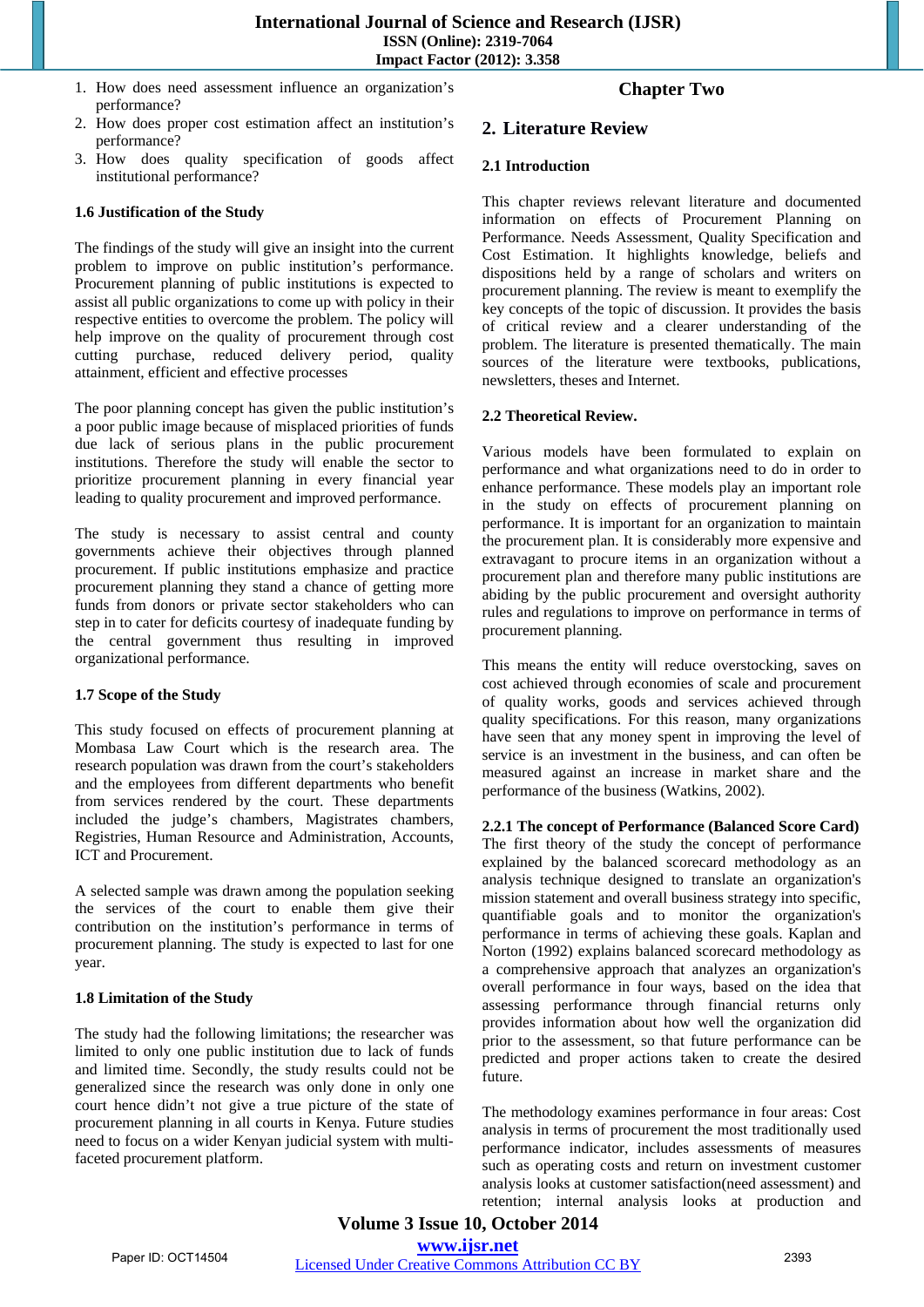1. How does need assessment influence an organization's performance?

#### 2. How does proper cost estimation affect an institution's performance?

3. How does quality specification of goods affect institutional performance?

#### **1.6 Justification of the Study**

The findings of the study will give an insight into the current problem to improve on public institution's performance. Procurement planning of public institutions is expected to assist all public organizations to come up with policy in their respective entities to overcome the problem. The policy will help improve on the quality of procurement through cost cutting purchase, reduced delivery period, quality attainment, efficient and effective processes

The poor planning concept has given the public institution's a poor public image because of misplaced priorities of funds due lack of serious plans in the public procurement institutions. Therefore the study will enable the sector to prioritize procurement planning in every financial year leading to quality procurement and improved performance.

The study is necessary to assist central and county governments achieve their objectives through planned procurement. If public institutions emphasize and practice procurement planning they stand a chance of getting more funds from donors or private sector stakeholders who can step in to cater for deficits courtesy of inadequate funding by the central government thus resulting in improved organizational performance.

#### **1.7 Scope of the Study**

This study focused on effects of procurement planning at Mombasa Law Court which is the research area. The research population was drawn from the court's stakeholders and the employees from different departments who benefit from services rendered by the court. These departments included the judge's chambers, Magistrates chambers, Registries, Human Resource and Administration, Accounts, ICT and Procurement.

A selected sample was drawn among the population seeking the services of the court to enable them give their contribution on the institution's performance in terms of procurement planning. The study is expected to last for one year.

#### **1.8 Limitation of the Study**

The study had the following limitations; the researcher was limited to only one public institution due to lack of funds and limited time. Secondly, the study results could not be generalized since the research was only done in only one court hence didn't not give a true picture of the state of procurement planning in all courts in Kenya. Future studies need to focus on a wider Kenyan judicial system with multifaceted procurement platform.

### **Chapter Two**

# **2. Literature Review**

#### **2.1 Introduction**

This chapter reviews relevant literature and documented information on effects of Procurement Planning on Performance. Needs Assessment, Quality Specification and Cost Estimation. It highlights knowledge, beliefs and dispositions held by a range of scholars and writers on procurement planning. The review is meant to exemplify the key concepts of the topic of discussion. It provides the basis of critical review and a clearer understanding of the problem. The literature is presented thematically. The main sources of the literature were textbooks, publications, newsletters, theses and Internet.

#### **2.2 Theoretical Review.**

Various models have been formulated to explain on performance and what organizations need to do in order to enhance performance. These models play an important role in the study on effects of procurement planning on performance. It is important for an organization to maintain the procurement plan. It is considerably more expensive and extravagant to procure items in an organization without a procurement plan and therefore many public institutions are abiding by the public procurement and oversight authority rules and regulations to improve on performance in terms of procurement planning.

This means the entity will reduce overstocking, saves on cost achieved through economies of scale and procurement of quality works, goods and services achieved through quality specifications. For this reason, many organizations have seen that any money spent in improving the level of service is an investment in the business, and can often be measured against an increase in market share and the performance of the business (Watkins, 2002).

**2.2.1 The concept of Performance (Balanced Score Card)**  The first theory of the study the concept of performance explained by the balanced scorecard methodology as an analysis technique designed to translate an organization's mission statement and overall business strategy into specific, quantifiable goals and to monitor the organization's performance in terms of achieving these goals. Kaplan and Norton (1992) explains balanced scorecard methodology as a comprehensive approach that analyzes an organization's overall performance in four ways, based on the idea that assessing performance through financial returns only provides information about how well the organization did prior to the assessment, so that future performance can be predicted and proper actions taken to create the desired future.

The methodology examines performance in four areas: Cost analysis in terms of procurement the most traditionally used performance indicator, includes assessments of measures such as operating costs and return on investment customer analysis looks at customer satisfaction(need assessment) and retention; internal analysis looks at production and

**Volume 3 Issue 10, October 2014 www.ijsr.net**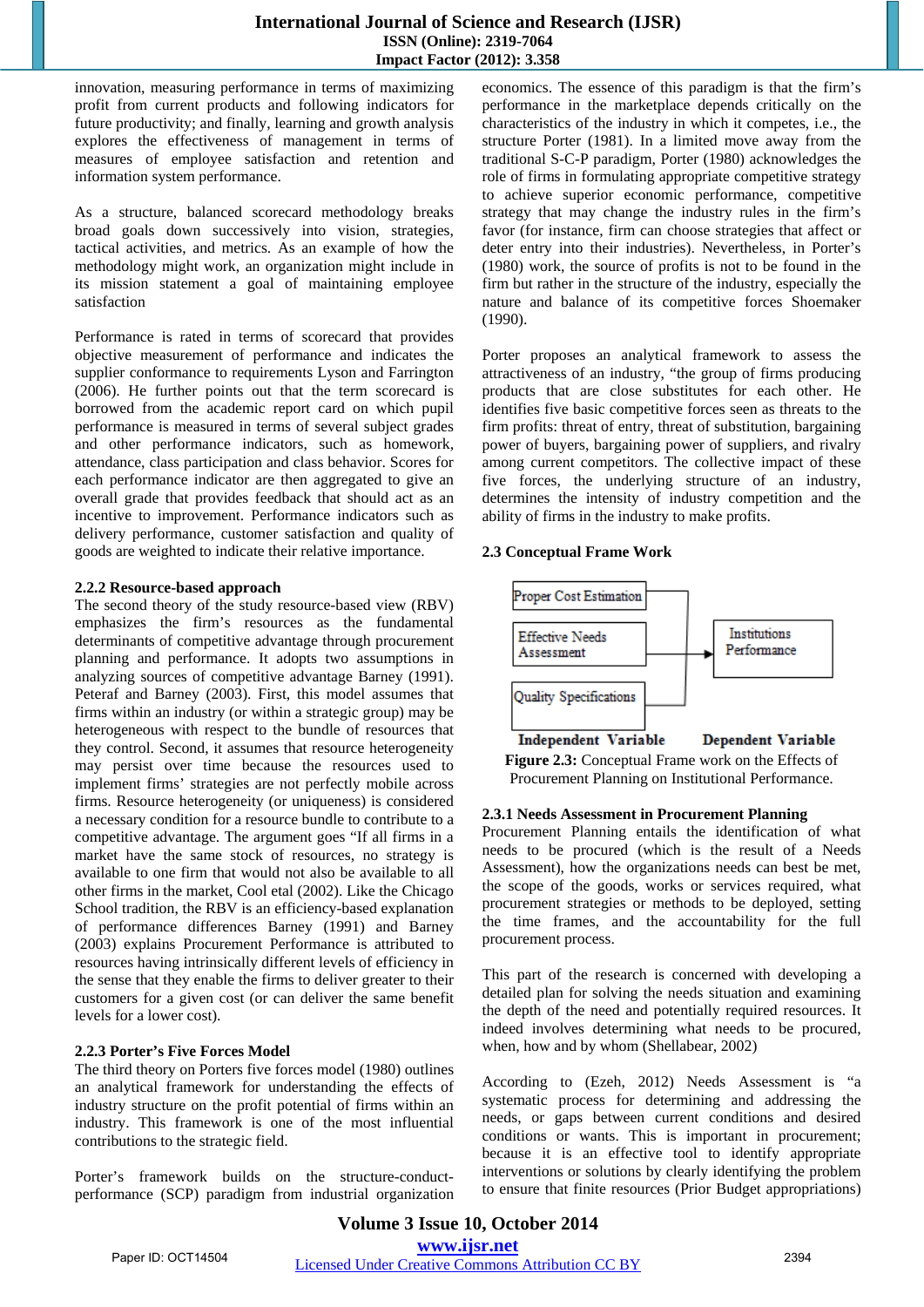innovation, measuring performance in terms of maximizing profit from current products and following indicators for future productivity; and finally, learning and growth analysis explores the effectiveness of management in terms of measures of employee satisfaction and retention and information system performance.

As a structure, balanced scorecard methodology breaks broad goals down successively into vision, strategies, tactical activities, and metrics. As an example of how the methodology might work, an organization might include in its mission statement a goal of maintaining employee satisfaction

Performance is rated in terms of scorecard that provides objective measurement of performance and indicates the supplier conformance to requirements Lyson and Farrington (2006). He further points out that the term scorecard is borrowed from the academic report card on which pupil performance is measured in terms of several subject grades and other performance indicators, such as homework, attendance, class participation and class behavior. Scores for each performance indicator are then aggregated to give an overall grade that provides feedback that should act as an incentive to improvement. Performance indicators such as delivery performance, customer satisfaction and quality of goods are weighted to indicate their relative importance.

#### **2.2.2 Resource-based approach**

The second theory of the study resource-based view (RBV) emphasizes the firm's resources as the fundamental determinants of competitive advantage through procurement planning and performance. It adopts two assumptions in analyzing sources of competitive advantage Barney (1991). Peteraf and Barney (2003). First, this model assumes that firms within an industry (or within a strategic group) may be heterogeneous with respect to the bundle of resources that they control. Second, it assumes that resource heterogeneity may persist over time because the resources used to implement firms' strategies are not perfectly mobile across firms. Resource heterogeneity (or uniqueness) is considered a necessary condition for a resource bundle to contribute to a competitive advantage. The argument goes "If all firms in a market have the same stock of resources, no strategy is available to one firm that would not also be available to all other firms in the market, Cool etal (2002). Like the Chicago School tradition, the RBV is an efficiency-based explanation of performance differences Barney (1991) and Barney (2003) explains Procurement Performance is attributed to resources having intrinsically different levels of efficiency in the sense that they enable the firms to deliver greater to their customers for a given cost (or can deliver the same benefit levels for a lower cost).

#### **2.2.3 Porter's Five Forces Model**

The third theory on Porters five forces model (1980) outlines an analytical framework for understanding the effects of industry structure on the profit potential of firms within an industry. This framework is one of the most influential contributions to the strategic field.

Porter's framework builds on the structure-conductperformance (SCP) paradigm from industrial organization economics. The essence of this paradigm is that the firm's performance in the marketplace depends critically on the characteristics of the industry in which it competes, i.e., the structure Porter (1981). In a limited move away from the traditional S-C-P paradigm, Porter (1980) acknowledges the role of firms in formulating appropriate competitive strategy to achieve superior economic performance, competitive strategy that may change the industry rules in the firm's favor (for instance, firm can choose strategies that affect or deter entry into their industries). Nevertheless, in Porter's (1980) work, the source of profits is not to be found in the firm but rather in the structure of the industry, especially the nature and balance of its competitive forces Shoemaker (1990).

Porter proposes an analytical framework to assess the attractiveness of an industry, "the group of firms producing products that are close substitutes for each other. He identifies five basic competitive forces seen as threats to the firm profits: threat of entry, threat of substitution, bargaining power of buyers, bargaining power of suppliers, and rivalry among current competitors. The collective impact of these five forces, the underlying structure of an industry, determines the intensity of industry competition and the ability of firms in the industry to make profits.

#### **2.3 Conceptual Frame Work**



**Figure 2.3:** Conceptual Frame work on the Effects of Procurement Planning on Institutional Performance.

#### **2.3.1 Needs Assessment in Procurement Planning**

Procurement Planning entails the identification of what needs to be procured (which is the result of a Needs Assessment), how the organizations needs can best be met, the scope of the goods, works or services required, what procurement strategies or methods to be deployed, setting the time frames, and the accountability for the full procurement process.

This part of the research is concerned with developing a detailed plan for solving the needs situation and examining the depth of the need and potentially required resources. It indeed involves determining what needs to be procured, when, how and by whom (Shellabear, 2002)

According to (Ezeh, 2012) Needs Assessment is "a systematic process for determining and addressing the needs, or gaps between current conditions and desired conditions or wants. This is important in procurement; because it is an effective tool to identify appropriate interventions or solutions by clearly identifying the problem to ensure that finite resources (Prior Budget appropriations)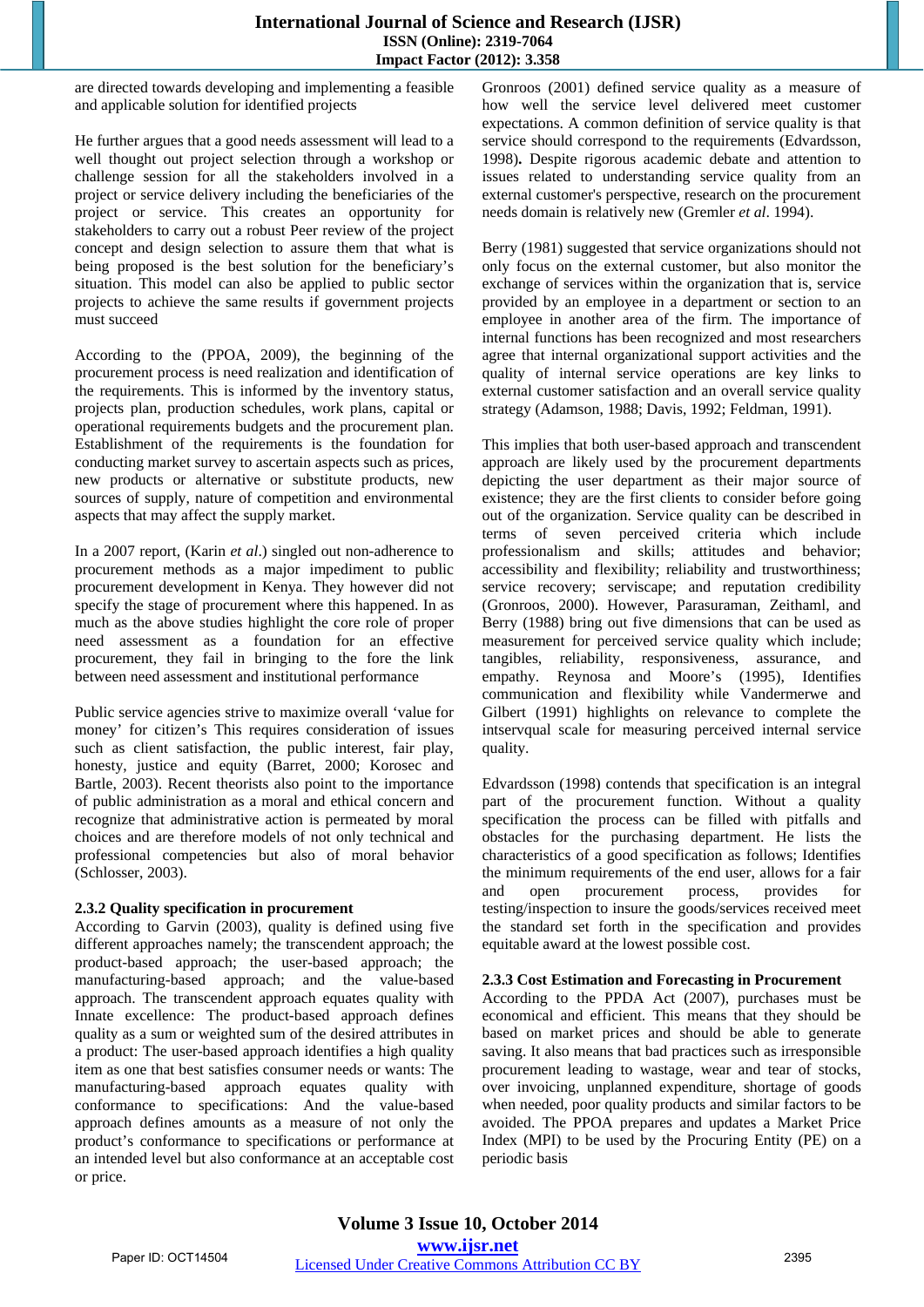are directed towards developing and implementing a feasible and applicable solution for identified projects

He further argues that a good needs assessment will lead to a well thought out project selection through a workshop or challenge session for all the stakeholders involved in a project or service delivery including the beneficiaries of the project or service. This creates an opportunity for stakeholders to carry out a robust Peer review of the project concept and design selection to assure them that what is being proposed is the best solution for the beneficiary's situation. This model can also be applied to public sector projects to achieve the same results if government projects must succeed

According to the (PPOA, 2009), the beginning of the procurement process is need realization and identification of the requirements. This is informed by the inventory status, projects plan, production schedules, work plans, capital or operational requirements budgets and the procurement plan. Establishment of the requirements is the foundation for conducting market survey to ascertain aspects such as prices, new products or alternative or substitute products, new sources of supply, nature of competition and environmental aspects that may affect the supply market.

In a 2007 report, (Karin *et al*.) singled out non-adherence to procurement methods as a major impediment to public procurement development in Kenya. They however did not specify the stage of procurement where this happened. In as much as the above studies highlight the core role of proper need assessment as a foundation for an effective procurement, they fail in bringing to the fore the link between need assessment and institutional performance

Public service agencies strive to maximize overall 'value for money' for citizen's This requires consideration of issues such as client satisfaction, the public interest, fair play, honesty, justice and equity (Barret, 2000; Korosec and Bartle, 2003). Recent theorists also point to the importance of public administration as a moral and ethical concern and recognize that administrative action is permeated by moral choices and are therefore models of not only technical and professional competencies but also of moral behavior (Schlosser, 2003).

#### **2.3.2 Quality specification in procurement**

According to Garvin (2003), quality is defined using five different approaches namely; the transcendent approach; the product-based approach; the user-based approach; the manufacturing-based approach; and the value-based approach. The transcendent approach equates quality with Innate excellence: The product-based approach defines quality as a sum or weighted sum of the desired attributes in a product: The user-based approach identifies a high quality item as one that best satisfies consumer needs or wants: The manufacturing-based approach equates quality with conformance to specifications: And the value-based approach defines amounts as a measure of not only the product's conformance to specifications or performance at an intended level but also conformance at an acceptable cost or price.

Gronroos (2001) defined service quality as a measure of how well the service level delivered meet customer expectations. A common definition of service quality is that service should correspond to the requirements (Edvardsson, 1998)**.** Despite rigorous academic debate and attention to issues related to understanding service quality from an external customer's perspective, research on the procurement needs domain is relatively new (Gremler *et al*. 1994).

Berry (1981) suggested that service organizations should not only focus on the external customer, but also monitor the exchange of services within the organization that is, service provided by an employee in a department or section to an employee in another area of the firm. The importance of internal functions has been recognized and most researchers agree that internal organizational support activities and the quality of internal service operations are key links to external customer satisfaction and an overall service quality strategy (Adamson, 1988; Davis, 1992; Feldman, 1991).

This implies that both user-based approach and transcendent approach are likely used by the procurement departments depicting the user department as their major source of existence; they are the first clients to consider before going out of the organization. Service quality can be described in terms of seven perceived criteria which include professionalism and skills; attitudes and behavior; accessibility and flexibility; reliability and trustworthiness; service recovery; serviscape; and reputation credibility (Gronroos, 2000). However, Parasuraman, Zeithaml, and Berry (1988) bring out five dimensions that can be used as measurement for perceived service quality which include; tangibles, reliability, responsiveness, assurance, and empathy. Reynosa and Moore's (1995), Identifies communication and flexibility while Vandermerwe and Gilbert (1991) highlights on relevance to complete the intservqual scale for measuring perceived internal service quality.

Edvardsson (1998) contends that specification is an integral part of the procurement function. Without a quality specification the process can be filled with pitfalls and obstacles for the purchasing department. He lists the characteristics of a good specification as follows; Identifies the minimum requirements of the end user, allows for a fair and open procurement process, provides for testing/inspection to insure the goods/services received meet the standard set forth in the specification and provides equitable award at the lowest possible cost.

#### **2.3.3 Cost Estimation and Forecasting in Procurement**

According to the PPDA Act (2007), purchases must be economical and efficient. This means that they should be based on market prices and should be able to generate saving. It also means that bad practices such as irresponsible procurement leading to wastage, wear and tear of stocks, over invoicing, unplanned expenditure, shortage of goods when needed, poor quality products and similar factors to be avoided. The PPOA prepares and updates a Market Price Index (MPI) to be used by the Procuring Entity (PE) on a periodic basis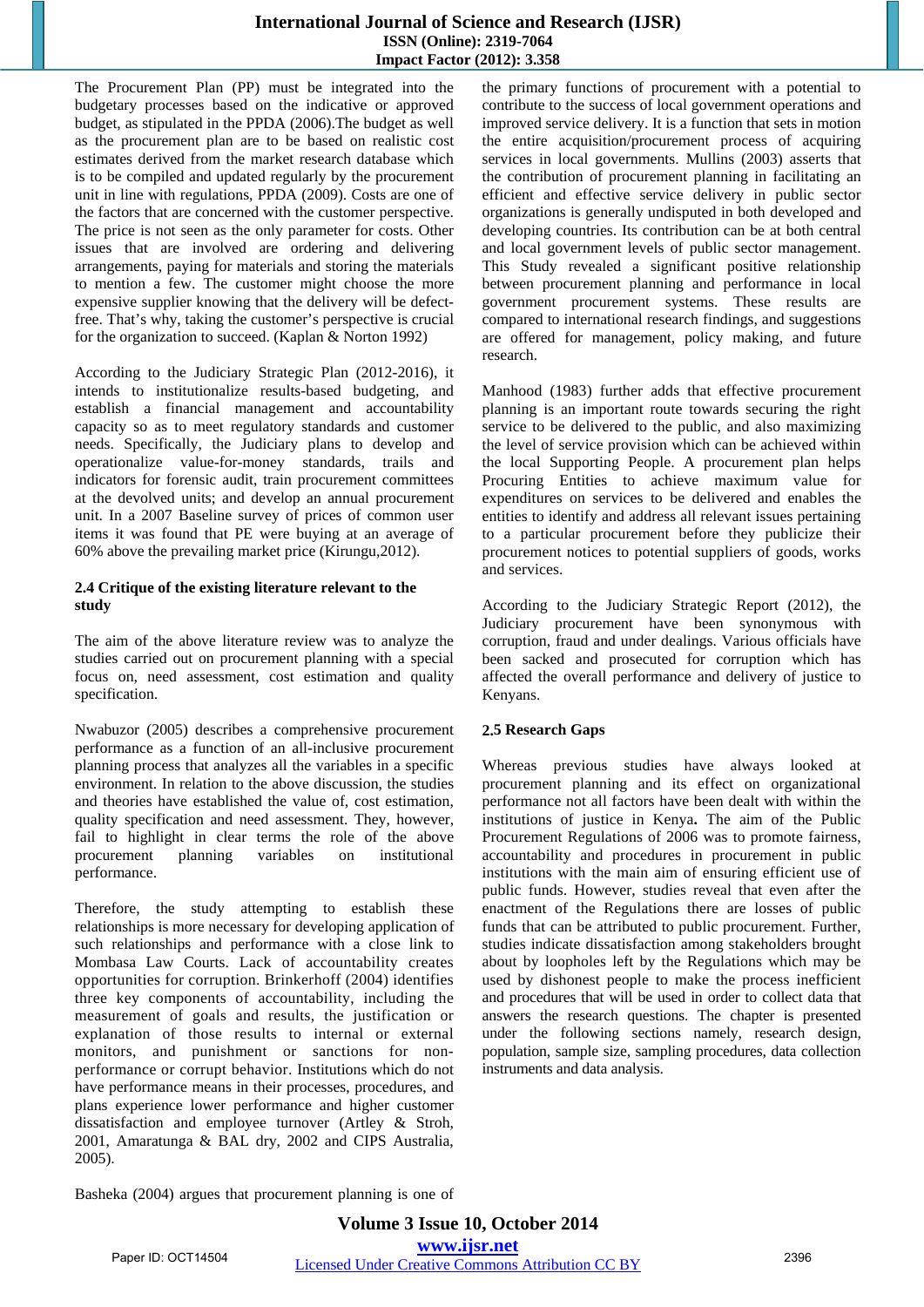The Procurement Plan (PP) must be integrated into the budgetary processes based on the indicative or approved budget, as stipulated in the PPDA (2006).The budget as well as the procurement plan are to be based on realistic cost estimates derived from the market research database which is to be compiled and updated regularly by the procurement unit in line with regulations, PPDA (2009). Costs are one of the factors that are concerned with the customer perspective. The price is not seen as the only parameter for costs. Other issues that are involved are ordering and delivering arrangements, paying for materials and storing the materials to mention a few. The customer might choose the more expensive supplier knowing that the delivery will be defectfree. That's why, taking the customer's perspective is crucial for the organization to succeed. (Kaplan & Norton 1992)

According to the Judiciary Strategic Plan (2012-2016), it intends to institutionalize results-based budgeting, and establish a financial management and accountability capacity so as to meet regulatory standards and customer needs. Specifically, the Judiciary plans to develop and operationalize value-for-money standards, trails and indicators for forensic audit, train procurement committees at the devolved units; and develop an annual procurement unit. In a 2007 Baseline survey of prices of common user items it was found that PE were buying at an average of 60% above the prevailing market price (Kirungu,2012).

#### **2.4 Critique of the existing literature relevant to the study**

The aim of the above literature review was to analyze the studies carried out on procurement planning with a special focus on, need assessment, cost estimation and quality specification.

Nwabuzor (2005) describes a comprehensive procurement performance as a function of an all-inclusive procurement planning process that analyzes all the variables in a specific environment. In relation to the above discussion, the studies and theories have established the value of, cost estimation, quality specification and need assessment. They, however, fail to highlight in clear terms the role of the above procurement planning variables on institutional performance.

Therefore, the study attempting to establish these relationships is more necessary for developing application of such relationships and performance with a close link to Mombasa Law Courts. Lack of accountability creates opportunities for corruption. Brinkerhoff (2004) identifies three key components of accountability, including the measurement of goals and results, the justification or explanation of those results to internal or external monitors, and punishment or sanctions for nonperformance or corrupt behavior. Institutions which do not have performance means in their processes, procedures, and plans experience lower performance and higher customer dissatisfaction and employee turnover (Artley & Stroh, 2001, Amaratunga & BAL dry, 2002 and CIPS Australia, 2005).

the primary functions of procurement with a potential to contribute to the success of local government operations and improved service delivery. It is a function that sets in motion the entire acquisition/procurement process of acquiring services in local governments. Mullins (2003) asserts that the contribution of procurement planning in facilitating an efficient and effective service delivery in public sector organizations is generally undisputed in both developed and developing countries. Its contribution can be at both central and local government levels of public sector management. This Study revealed a significant positive relationship between procurement planning and performance in local government procurement systems. These results are compared to international research findings, and suggestions are offered for management, policy making, and future research.

Manhood (1983) further adds that effective procurement planning is an important route towards securing the right service to be delivered to the public, and also maximizing the level of service provision which can be achieved within the local Supporting People. A procurement plan helps Procuring Entities to achieve maximum value for expenditures on services to be delivered and enables the entities to identify and address all relevant issues pertaining to a particular procurement before they publicize their procurement notices to potential suppliers of goods, works and services.

According to the Judiciary Strategic Report (2012), the Judiciary procurement have been synonymous with corruption, fraud and under dealings. Various officials have been sacked and prosecuted for corruption which has affected the overall performance and delivery of justice to Kenyans.

#### **2.5 Research Gaps**

Whereas previous studies have always looked at procurement planning and its effect on organizational performance not all factors have been dealt with within the institutions of justice in Kenya**.** The aim of the Public Procurement Regulations of 2006 was to promote fairness, accountability and procedures in procurement in public institutions with the main aim of ensuring efficient use of public funds. However, studies reveal that even after the enactment of the Regulations there are losses of public funds that can be attributed to public procurement. Further, studies indicate dissatisfaction among stakeholders brought about by loopholes left by the Regulations which may be used by dishonest people to make the process inefficient and procedures that will be used in order to collect data that answers the research questions. The chapter is presented under the following sections namely, research design, population, sample size, sampling procedures, data collection instruments and data analysis.

Basheka (2004) argues that procurement planning is one of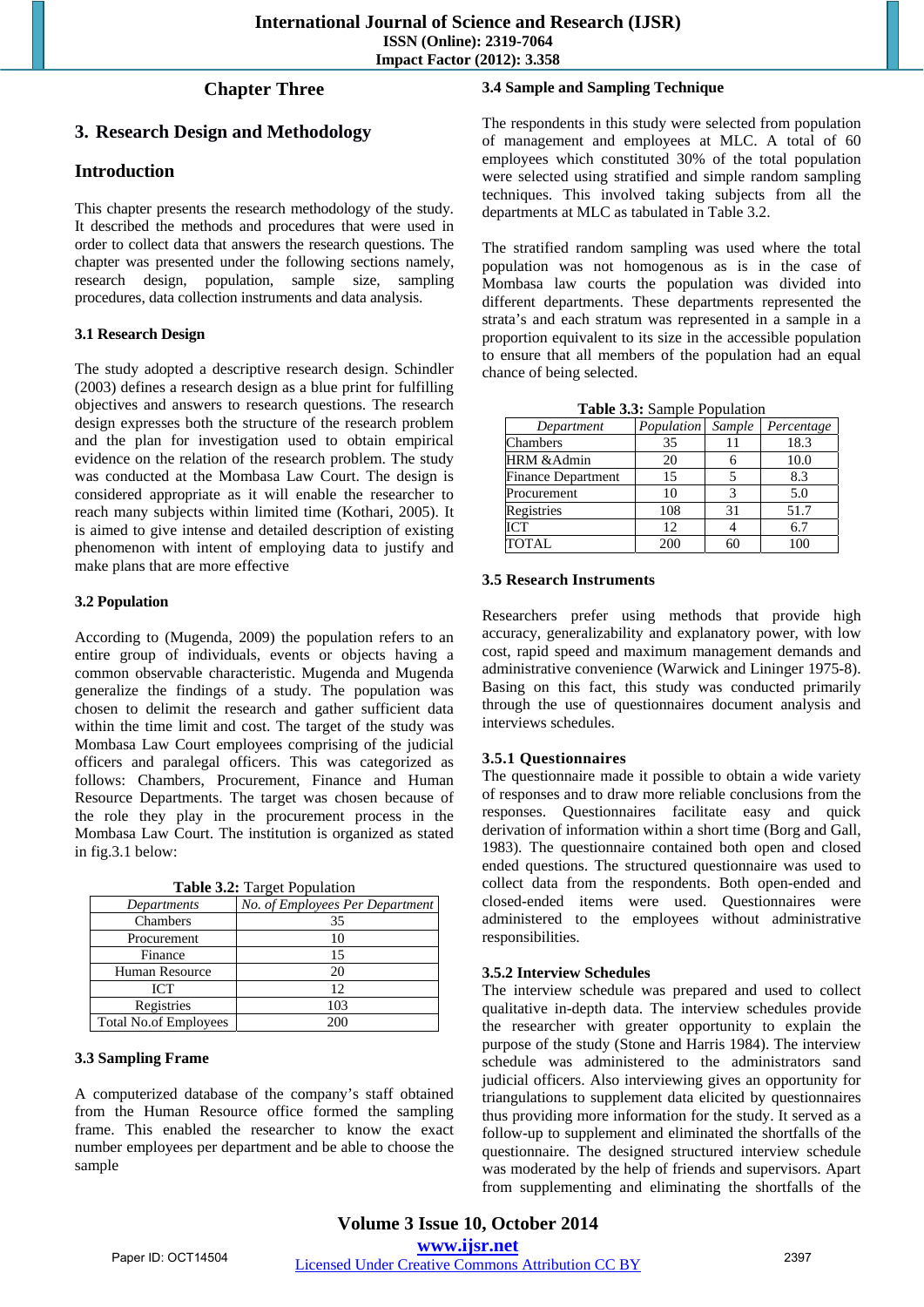## **Chapter Three**

# **3. Research Design and Methodology**

## **Introduction**

This chapter presents the research methodology of the study. It described the methods and procedures that were used in order to collect data that answers the research questions. The chapter was presented under the following sections namely, research design, population, sample size, sampling procedures, data collection instruments and data analysis.

#### **3.1 Research Design**

The study adopted a descriptive research design. Schindler (2003) defines a research design as a blue print for fulfilling objectives and answers to research questions. The research design expresses both the structure of the research problem and the plan for investigation used to obtain empirical evidence on the relation of the research problem. The study was conducted at the Mombasa Law Court. The design is considered appropriate as it will enable the researcher to reach many subjects within limited time (Kothari, 2005). It is aimed to give intense and detailed description of existing phenomenon with intent of employing data to justify and make plans that are more effective

#### **3.2 Population**

According to (Mugenda, 2009) the population refers to an entire group of individuals, events or objects having a common observable characteristic. Mugenda and Mugenda generalize the findings of a study. The population was chosen to delimit the research and gather sufficient data within the time limit and cost. The target of the study was Mombasa Law Court employees comprising of the judicial officers and paralegal officers. This was categorized as follows: Chambers, Procurement, Finance and Human Resource Departments. The target was chosen because of the role they play in the procurement process in the Mombasa Law Court. The institution is organized as stated in fig.3.1 below:

| <b>rapid <math>\sum_i</math></b> ranger i optimion |                                 |  |
|----------------------------------------------------|---------------------------------|--|
| Departments                                        | No. of Employees Per Department |  |
| Chambers                                           | 35                              |  |
| Procurement                                        | 10                              |  |
| Finance                                            | 15                              |  |
| Human Resource                                     | 20                              |  |
| ICT                                                | 12                              |  |
| Registries                                         | 103                             |  |
| <b>Total No.of Employees</b>                       | 200                             |  |

**Table 3.2:** Target Population

#### **3.3 Sampling Frame**

A computerized database of the company's staff obtained from the Human Resource office formed the sampling frame. This enabled the researcher to know the exact number employees per department and be able to choose the sample

#### **3.4 Sample and Sampling Technique**

The respondents in this study were selected from population of management and employees at MLC. A total of 60 employees which constituted 30% of the total population were selected using stratified and simple random sampling techniques. This involved taking subjects from all the departments at MLC as tabulated in Table 3.2.

The stratified random sampling was used where the total population was not homogenous as is in the case of Mombasa law courts the population was divided into different departments. These departments represented the strata's and each stratum was represented in a sample in a proportion equivalent to its size in the accessible population to ensure that all members of the population had an equal chance of being selected.

| Table 3.3: Sample Population |  |
|------------------------------|--|
|------------------------------|--|

| Department                | Population | Sample | Percentage |
|---------------------------|------------|--------|------------|
| Chambers                  | 35         |        | 18.3       |
| HRM & Admin               | 20         |        | 10.0       |
| <b>Finance Department</b> | 15         |        | 8.3        |
| Procurement               | 10         |        | 5.0        |
| Registries                | 108        | 31     | 51.7       |
| ICT                       | 12         |        | 6.7        |
| <b>TOTAL</b>              | 200        | 60     | 100        |

#### **3.5 Research Instruments**

Researchers prefer using methods that provide high accuracy, generalizability and explanatory power, with low cost, rapid speed and maximum management demands and administrative convenience (Warwick and Lininger 1975-8). Basing on this fact, this study was conducted primarily through the use of questionnaires document analysis and interviews schedules.

#### **3.5.1 Questionnaires**

The questionnaire made it possible to obtain a wide variety of responses and to draw more reliable conclusions from the responses. Questionnaires facilitate easy and quick derivation of information within a short time (Borg and Gall, 1983). The questionnaire contained both open and closed ended questions. The structured questionnaire was used to collect data from the respondents. Both open-ended and closed-ended items were used. Questionnaires were administered to the employees without administrative responsibilities.

#### **3.5.2 Interview Schedules**

The interview schedule was prepared and used to collect qualitative in-depth data. The interview schedules provide the researcher with greater opportunity to explain the purpose of the study (Stone and Harris 1984). The interview schedule was administered to the administrators sand judicial officers. Also interviewing gives an opportunity for triangulations to supplement data elicited by questionnaires thus providing more information for the study. It served as a follow-up to supplement and eliminated the shortfalls of the questionnaire. The designed structured interview schedule was moderated by the help of friends and supervisors. Apart from supplementing and eliminating the shortfalls of the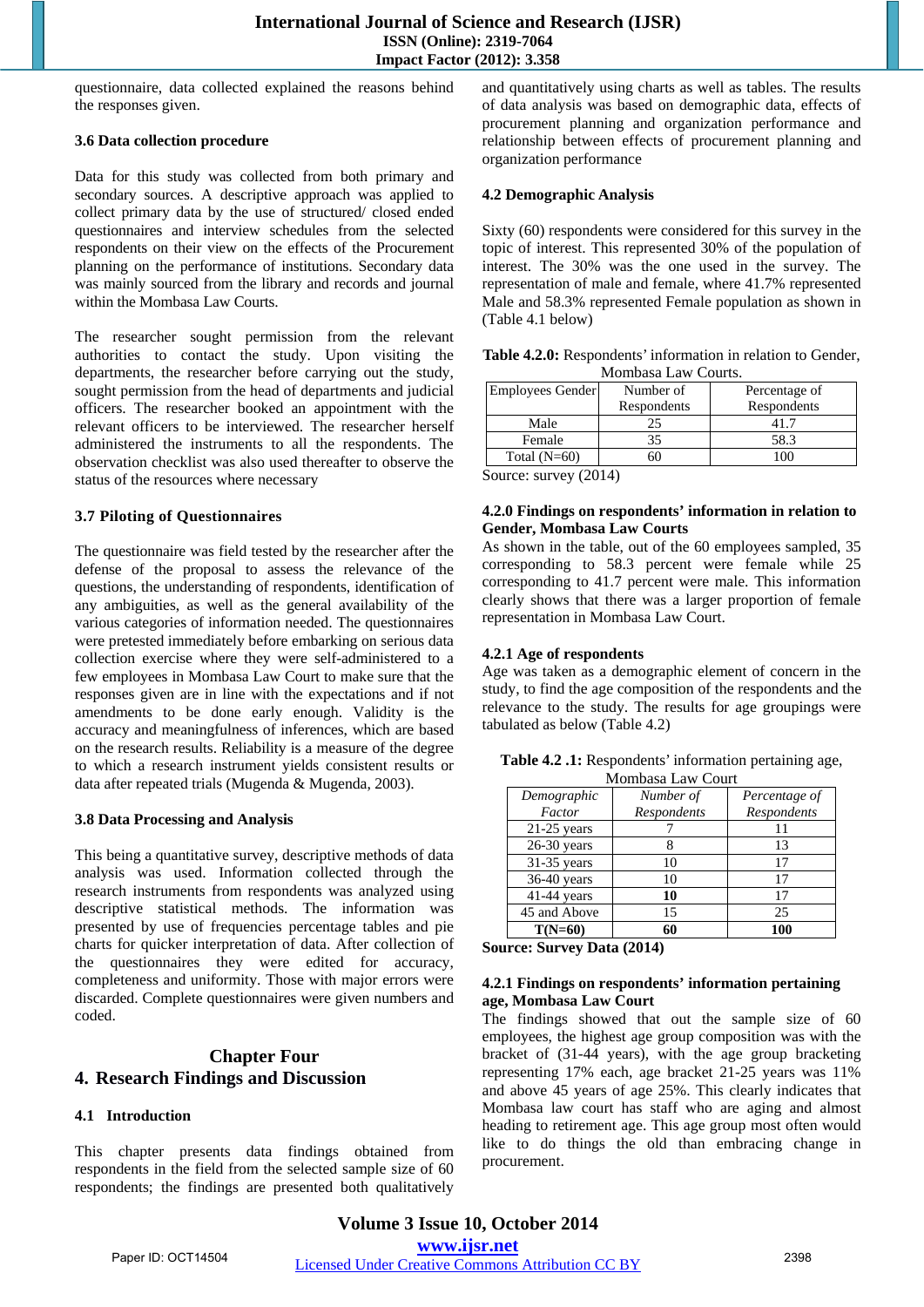questionnaire, data collected explained the reasons behind the responses given.

#### **3.6 Data collection procedure**

Data for this study was collected from both primary and secondary sources. A descriptive approach was applied to collect primary data by the use of structured/ closed ended questionnaires and interview schedules from the selected respondents on their view on the effects of the Procurement planning on the performance of institutions. Secondary data was mainly sourced from the library and records and journal within the Mombasa Law Courts.

The researcher sought permission from the relevant authorities to contact the study. Upon visiting the departments, the researcher before carrying out the study, sought permission from the head of departments and judicial officers. The researcher booked an appointment with the relevant officers to be interviewed. The researcher herself administered the instruments to all the respondents. The observation checklist was also used thereafter to observe the status of the resources where necessary

#### **3.7 Piloting of Questionnaires**

The questionnaire was field tested by the researcher after the defense of the proposal to assess the relevance of the questions, the understanding of respondents, identification of any ambiguities, as well as the general availability of the various categories of information needed. The questionnaires were pretested immediately before embarking on serious data collection exercise where they were self-administered to a few employees in Mombasa Law Court to make sure that the responses given are in line with the expectations and if not amendments to be done early enough. Validity is the accuracy and meaningfulness of inferences, which are based on the research results. Reliability is a measure of the degree to which a research instrument yields consistent results or data after repeated trials (Mugenda & Mugenda, 2003).

#### **3.8 Data Processing and Analysis**

This being a quantitative survey, descriptive methods of data analysis was used. Information collected through the research instruments from respondents was analyzed using descriptive statistical methods. The information was presented by use of frequencies percentage tables and pie charts for quicker interpretation of data. After collection of the questionnaires they were edited for accuracy, completeness and uniformity. Those with major errors were discarded. Complete questionnaires were given numbers and coded.

# **Chapter Four 4. Research Findings and Discussion**

#### **4.1 Introduction**

This chapter presents data findings obtained from respondents in the field from the selected sample size of 60 respondents; the findings are presented both qualitatively and quantitatively using charts as well as tables. The results of data analysis was based on demographic data, effects of procurement planning and organization performance and relationship between effects of procurement planning and organization performance

#### **4.2 Demographic Analysis**

Sixty (60) respondents were considered for this survey in the topic of interest. This represented 30% of the population of interest. The 30% was the one used in the survey. The representation of male and female, where 41.7% represented Male and 58.3% represented Female population as shown in (Table 4.1 below)

| Table 4.2.0: Respondents' information in relation to Gender, |                     |  |
|--------------------------------------------------------------|---------------------|--|
|                                                              | Mombasa Law Courts. |  |

| <b>Employees Gender</b> | Number of   | Percentage of |
|-------------------------|-------------|---------------|
|                         | Respondents | Respondents   |
| Male                    | 25.         |               |
| Female                  | 35          | 58.3          |
| Total $(N=60)$          |             |               |

Source: survey (2014)

#### **4.2.0 Findings on respondents' information in relation to Gender, Mombasa Law Courts**

As shown in the table, out of the 60 employees sampled, 35 corresponding to 58.3 percent were female while 25 corresponding to 41.7 percent were male. This information clearly shows that there was a larger proportion of female representation in Mombasa Law Court.

#### **4.2.1 Age of respondents**

Age was taken as a demographic element of concern in the study, to find the age composition of the respondents and the relevance to the study. The results for age groupings were tabulated as below (Table 4.2)

| <b>Table 4.2.1:</b> Respondents' information pertaining age, |  |
|--------------------------------------------------------------|--|
| Mombasa Law Court                                            |  |

|               | тношомы шин сомп |               |
|---------------|------------------|---------------|
| Demographic   | Number of        | Percentage of |
| Factor        | Respondents      | Respondents   |
| $21-25$ years |                  |               |
| $26-30$ years |                  | 13            |
| 31-35 years   | 10               | 17            |
| 36-40 years   | 10               | 17            |
| 41-44 years   | 10               | 17            |
| 45 and Above  | 15               | 25            |
| $T(N=60)$     | 60               | 100           |

**Source: Survey Data (2014)** 

#### **4.2.1 Findings on respondents' information pertaining age, Mombasa Law Court**

The findings showed that out the sample size of 60 employees, the highest age group composition was with the bracket of (31-44 years), with the age group bracketing representing 17% each, age bracket 21-25 years was 11% and above 45 years of age 25%. This clearly indicates that Mombasa law court has staff who are aging and almost heading to retirement age. This age group most often would like to do things the old than embracing change in procurement.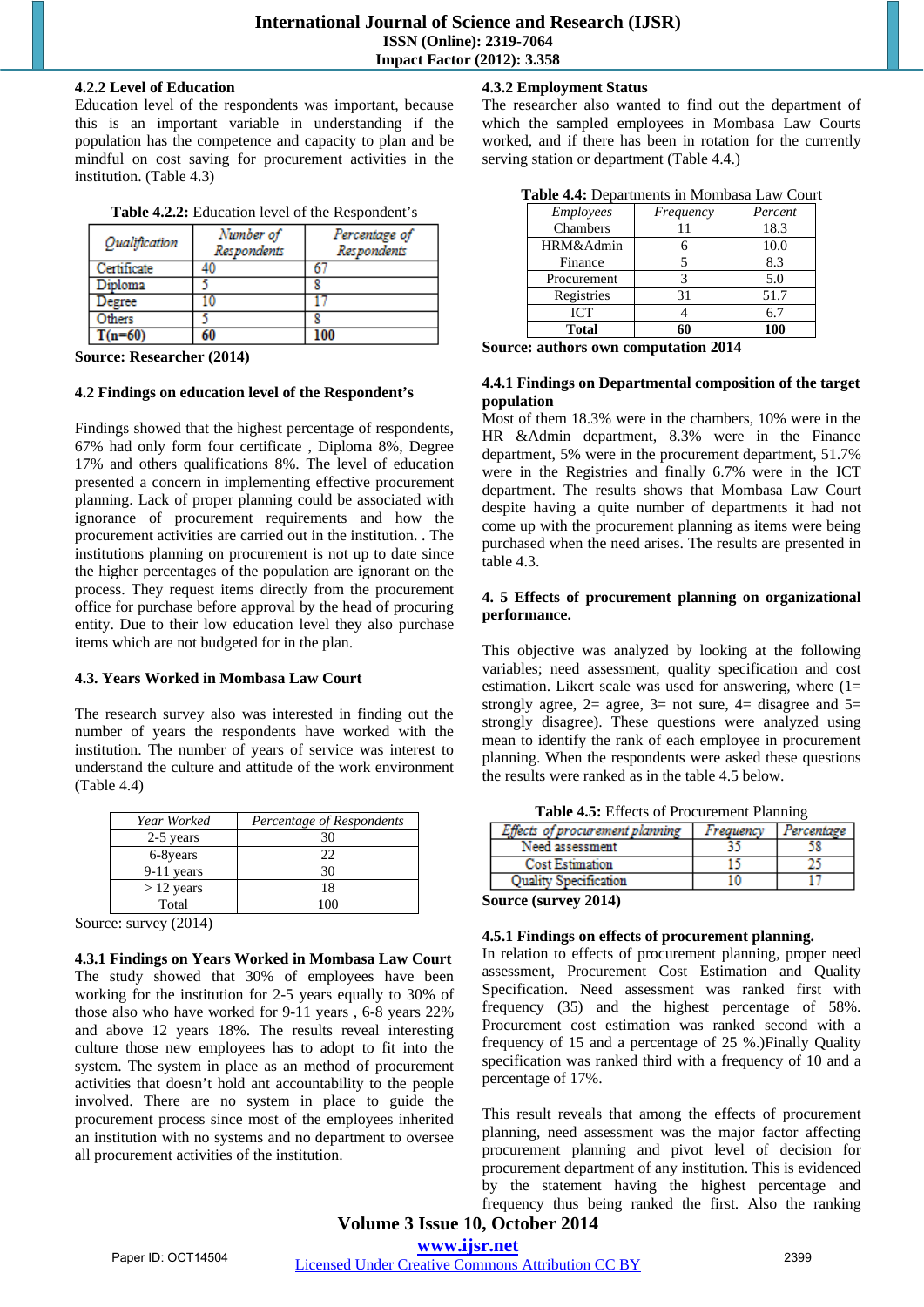#### **4.2.2 Level of Education**

Education level of the respondents was important, because this is an important variable in understanding if the population has the competence and capacity to plan and be mindful on cost saving for procurement activities in the institution. (Table 4.3)

| <b>Tuble 1940</b> Daughton fover of the Respondent s |                          |                              |  |
|------------------------------------------------------|--------------------------|------------------------------|--|
| Qualification                                        | Number of<br>Respondents | Percentage of<br>Respondents |  |
| Certificate                                          | 10                       |                              |  |
| Diploma                                              |                          |                              |  |
| Degree                                               | 10                       |                              |  |
| Others                                               |                          |                              |  |
| $T(n=60)$                                            | 60                       | 100                          |  |

| Table 4.2.2: Education level of the Respondent's |  |  |  |  |
|--------------------------------------------------|--|--|--|--|
|--------------------------------------------------|--|--|--|--|

| Source: Researcher (2014) |  |
|---------------------------|--|
|---------------------------|--|

#### **4.2 Findings on education level of the Respondent's**

Findings showed that the highest percentage of respondents, 67% had only form four certificate , Diploma 8%, Degree 17% and others qualifications 8%. The level of education presented a concern in implementing effective procurement planning. Lack of proper planning could be associated with ignorance of procurement requirements and how the procurement activities are carried out in the institution. . The institutions planning on procurement is not up to date since the higher percentages of the population are ignorant on the process. They request items directly from the procurement office for purchase before approval by the head of procuring entity. Due to their low education level they also purchase items which are not budgeted for in the plan.

#### **4.3. Years Worked in Mombasa Law Court**

The research survey also was interested in finding out the number of years the respondents have worked with the institution. The number of years of service was interest to understand the culture and attitude of the work environment (Table 4.4)

| Year Worked  | Percentage of Respondents |
|--------------|---------------------------|
| 2-5 years    | 30                        |
| 6-8years     | 22                        |
| $9-11$ years | 30                        |
| $> 12$ years | 18                        |
| Total        |                           |

Source: survey (2014)

**4.3.1 Findings on Years Worked in Mombasa Law Court**  The study showed that 30% of employees have been working for the institution for 2-5 years equally to 30% of those also who have worked for 9-11 years , 6-8 years 22% and above 12 years 18%. The results reveal interesting culture those new employees has to adopt to fit into the system. The system in place as an method of procurement activities that doesn't hold ant accountability to the people involved. There are no system in place to guide the procurement process since most of the employees inherited an institution with no systems and no department to oversee all procurement activities of the institution.

# **4.3.2 Employment Status**

The researcher also wanted to find out the department of which the sampled employees in Mombasa Law Courts worked, and if there has been in rotation for the currently serving station or department (Table 4.4.)

| Table 4.4: Departments in Mombasa Law Court |           |         |
|---------------------------------------------|-----------|---------|
| <b>Employees</b>                            | Frequency | Percent |
| Chambers                                    |           | 18.3    |
| HRM&Admin                                   | 6         | 10.0    |
| Finance                                     |           | 8.3     |
| Procurement                                 |           | 5.0     |
| Registries                                  | 31        | 51.7    |
| <b>ICT</b>                                  |           | 6.7     |
| Total                                       | 60        | 100     |
|                                             |           |         |

**Source: authors own computation 2014** 

#### **4.4.1 Findings on Departmental composition of the target population**

Most of them 18.3% were in the chambers, 10% were in the HR &Admin department, 8.3% were in the Finance department, 5% were in the procurement department, 51.7% were in the Registries and finally 6.7% were in the ICT department. The results shows that Mombasa Law Court despite having a quite number of departments it had not come up with the procurement planning as items were being purchased when the need arises. The results are presented in table 4.3.

#### **4. 5 Effects of procurement planning on organizational performance.**

This objective was analyzed by looking at the following variables; need assessment, quality specification and cost estimation. Likert scale was used for answering, where  $(1=$ strongly agree,  $2=$  agree,  $3=$  not sure,  $4=$  disagree and  $5=$ strongly disagree). These questions were analyzed using mean to identify the rank of each employee in procurement planning. When the respondents were asked these questions the results were ranked as in the table 4.5 below.

| ffects of procurement planning | Freauency | Percentage |
|--------------------------------|-----------|------------|
| Need assessment                |           |            |
| <b>Cost Estimation</b>         |           |            |
| becification                   |           |            |

**Source (survey 2014)** 

#### **4.5.1 Findings on effects of procurement planning.**

In relation to effects of procurement planning, proper need assessment, Procurement Cost Estimation and Quality Specification. Need assessment was ranked first with frequency (35) and the highest percentage of 58%. Procurement cost estimation was ranked second with a frequency of 15 and a percentage of 25 %.)Finally Quality specification was ranked third with a frequency of 10 and a percentage of 17%.

This result reveals that among the effects of procurement planning, need assessment was the major factor affecting procurement planning and pivot level of decision for procurement department of any institution. This is evidenced by the statement having the highest percentage and frequency thus being ranked the first. Also the ranking

# **Volume 3 Issue 10, October 2014**

**www.ijsr.net**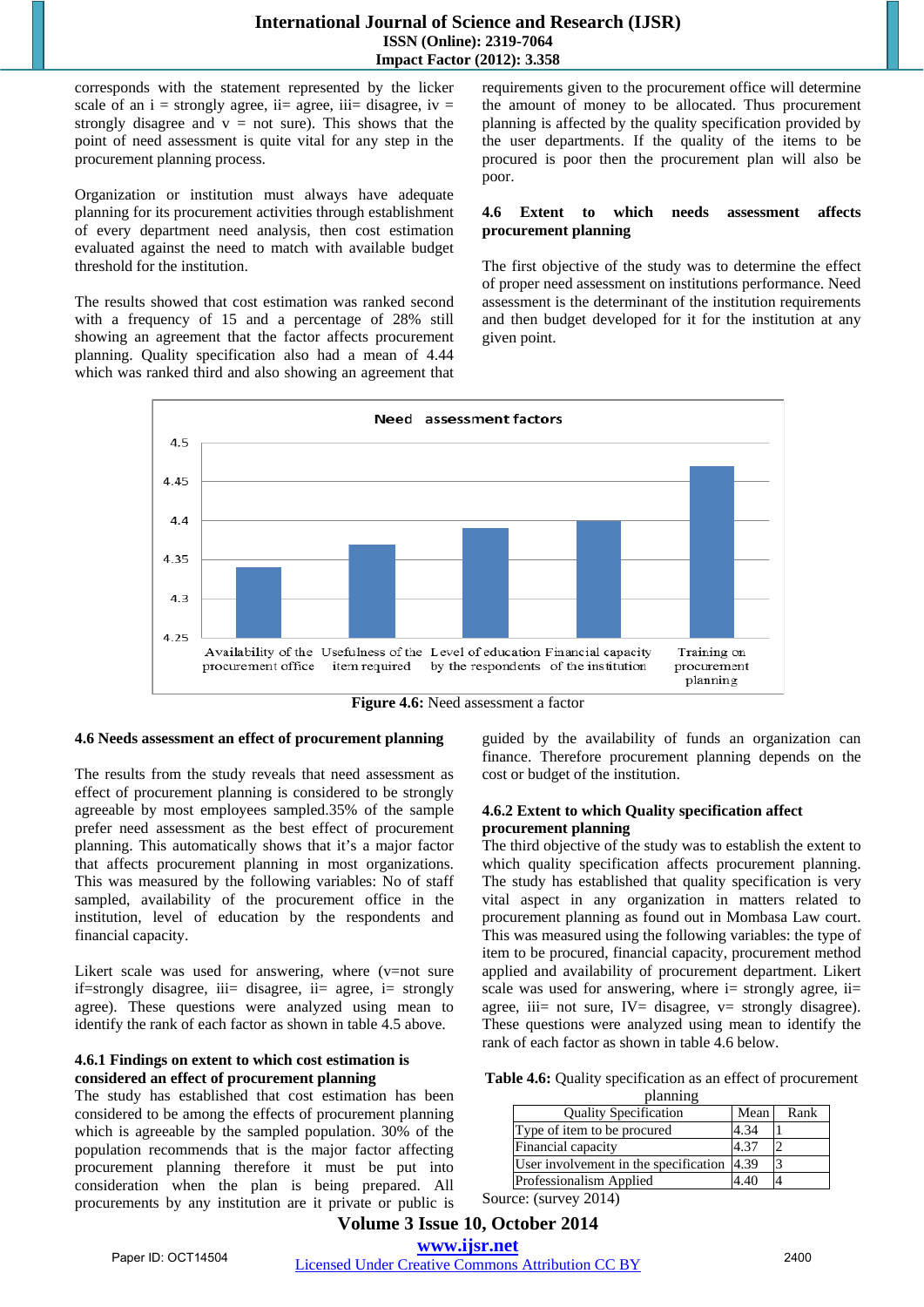corresponds with the statement represented by the licker scale of an  $i =$  strongly agree, ii= agree, iii= disagree, iv = strongly disagree and  $v = not sure$ ). This shows that the point of need assessment is quite vital for any step in the procurement planning process.

Organization or institution must always have adequate planning for its procurement activities through establishment of every department need analysis, then cost estimation evaluated against the need to match with available budget threshold for the institution.

The results showed that cost estimation was ranked second with a frequency of 15 and a percentage of 28% still showing an agreement that the factor affects procurement planning. Quality specification also had a mean of 4.44 which was ranked third and also showing an agreement that requirements given to the procurement office will determine the amount of money to be allocated. Thus procurement planning is affected by the quality specification provided by the user departments. If the quality of the items to be procured is poor then the procurement plan will also be poor.

#### **4.6 Extent to which needs assessment affects procurement planning**

The first objective of the study was to determine the effect of proper need assessment on institutions performance. Need assessment is the determinant of the institution requirements and then budget developed for it for the institution at any given point.



**Figure 4.6:** Need assessment a factor

#### **4.6 Needs assessment an effect of procurement planning**

The results from the study reveals that need assessment as effect of procurement planning is considered to be strongly agreeable by most employees sampled.35% of the sample prefer need assessment as the best effect of procurement planning. This automatically shows that it's a major factor that affects procurement planning in most organizations. This was measured by the following variables: No of staff sampled, availability of the procurement office in the institution, level of education by the respondents and financial capacity.

Likert scale was used for answering, where  $(v=not)$  sure if=strongly disagree, iii= disagree, ii= agree, i= strongly agree). These questions were analyzed using mean to identify the rank of each factor as shown in table 4.5 above.

#### **4.6.1 Findings on extent to which cost estimation is considered an effect of procurement planning**

The study has established that cost estimation has been considered to be among the effects of procurement planning which is agreeable by the sampled population. 30% of the population recommends that is the major factor affecting procurement planning therefore it must be put into consideration when the plan is being prepared. All procurements by any institution are it private or public is

guided by the availability of funds an organization can finance. Therefore procurement planning depends on the cost or budget of the institution.

#### **4.6.2 Extent to which Quality specification affect procurement planning**

The third objective of the study was to establish the extent to which quality specification affects procurement planning. The study has established that quality specification is very vital aspect in any organization in matters related to procurement planning as found out in Mombasa Law court. This was measured using the following variables: the type of item to be procured, financial capacity, procurement method applied and availability of procurement department. Likert scale was used for answering, where  $i=$  strongly agree,  $i=$ agree, iii= not sure,  $IV=$  disagree,  $v=$  strongly disagree). These questions were analyzed using mean to identify the rank of each factor as shown in table 4.6 below.

**Table 4.6:** Quality specification as an effect of procurement planning

| ртанните                                   |      |      |  |  |  |  |
|--------------------------------------------|------|------|--|--|--|--|
| <b>Quality Specification</b>               | Mean | Rank |  |  |  |  |
| Type of item to be procured                | 4.34 |      |  |  |  |  |
| Financial capacity                         | 4.37 |      |  |  |  |  |
| User involvement in the specification 4.39 |      |      |  |  |  |  |
| Professionalism Applied                    | 4.40 |      |  |  |  |  |

Source: (survey 2014)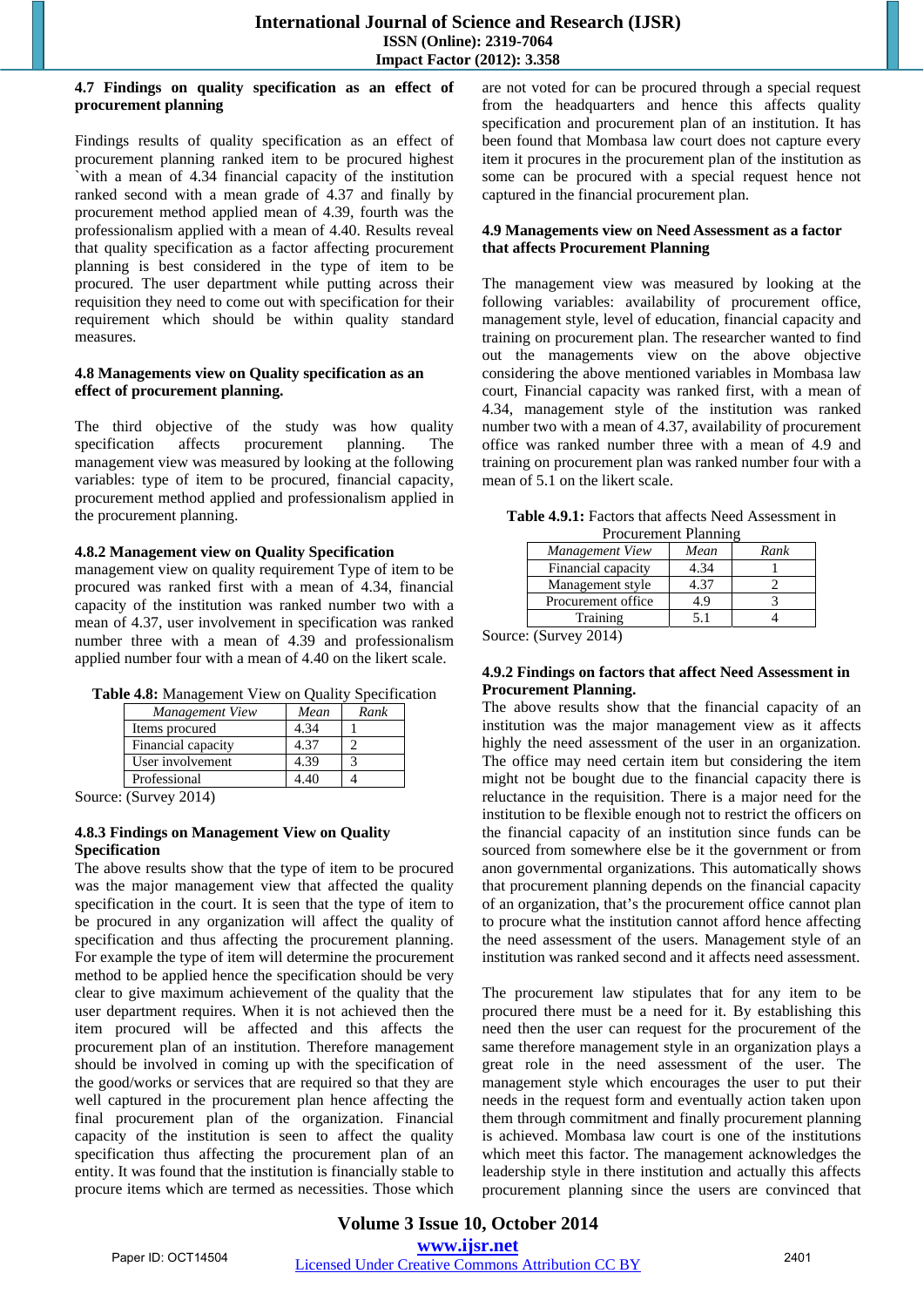#### **4.7 Findings on quality specification as an effect of procurement planning**

Findings results of quality specification as an effect of procurement planning ranked item to be procured highest `with a mean of 4.34 financial capacity of the institution ranked second with a mean grade of 4.37 and finally by procurement method applied mean of 4.39, fourth was the professionalism applied with a mean of 4.40. Results reveal that quality specification as a factor affecting procurement planning is best considered in the type of item to be procured. The user department while putting across their requisition they need to come out with specification for their requirement which should be within quality standard measures.

#### **4.8 Managements view on Quality specification as an effect of procurement planning.**

The third objective of the study was how quality specification affects procurement planning. The management view was measured by looking at the following variables: type of item to be procured, financial capacity, procurement method applied and professionalism applied in the procurement planning.

#### **4.8.2 Management view on Quality Specification**

management view on quality requirement Type of item to be procured was ranked first with a mean of 4.34, financial capacity of the institution was ranked number two with a mean of 4.37, user involvement in specification was ranked number three with a mean of 4.39 and professionalism applied number four with a mean of 4.40 on the likert scale.

|  |  |  |  | Table 4.8: Management View on Quality Specification |
|--|--|--|--|-----------------------------------------------------|
|--|--|--|--|-----------------------------------------------------|

| Management View    | Mean | Rank |
|--------------------|------|------|
| Items procured     | 4.34 |      |
| Financial capacity |      |      |
| User involvement   |      |      |
| Professional       |      |      |
| $   -$<br>$\sim$   |      |      |

Source: (Survey 2014)

#### **4.8.3 Findings on Management View on Quality Specification**

The above results show that the type of item to be procured was the major management view that affected the quality specification in the court. It is seen that the type of item to be procured in any organization will affect the quality of specification and thus affecting the procurement planning. For example the type of item will determine the procurement method to be applied hence the specification should be very clear to give maximum achievement of the quality that the user department requires. When it is not achieved then the item procured will be affected and this affects the procurement plan of an institution. Therefore management should be involved in coming up with the specification of the good/works or services that are required so that they are well captured in the procurement plan hence affecting the final procurement plan of the organization. Financial capacity of the institution is seen to affect the quality specification thus affecting the procurement plan of an entity. It was found that the institution is financially stable to procure items which are termed as necessities. Those which are not voted for can be procured through a special request from the headquarters and hence this affects quality specification and procurement plan of an institution. It has been found that Mombasa law court does not capture every item it procures in the procurement plan of the institution as some can be procured with a special request hence not captured in the financial procurement plan.

#### **4.9 Managements view on Need Assessment as a factor that affects Procurement Planning**

The management view was measured by looking at the following variables: availability of procurement office, management style, level of education, financial capacity and training on procurement plan. The researcher wanted to find out the managements view on the above objective considering the above mentioned variables in Mombasa law court, Financial capacity was ranked first, with a mean of 4.34, management style of the institution was ranked number two with a mean of 4.37, availability of procurement office was ranked number three with a mean of 4.9 and training on procurement plan was ranked number four with a mean of 5.1 on the likert scale.

| Procurement Planning |      |      |  |  |  |
|----------------------|------|------|--|--|--|
| Management View      | Mean | Rank |  |  |  |
| Financial capacity   | 4.34 |      |  |  |  |
| Management style     | 4.37 |      |  |  |  |
| Procurement office   | 4.9  |      |  |  |  |
| Training             | 51   |      |  |  |  |

|  |                      | <b>Table 4.9.1:</b> Factors that affects Need Assessment in |  |
|--|----------------------|-------------------------------------------------------------|--|
|  | Procurement Planning |                                                             |  |

Source: (Survey 2014)

#### **4.9.2 Findings on factors that affect Need Assessment in Procurement Planning.**

The above results show that the financial capacity of an institution was the major management view as it affects highly the need assessment of the user in an organization. The office may need certain item but considering the item might not be bought due to the financial capacity there is reluctance in the requisition. There is a major need for the institution to be flexible enough not to restrict the officers on the financial capacity of an institution since funds can be sourced from somewhere else be it the government or from anon governmental organizations. This automatically shows that procurement planning depends on the financial capacity of an organization, that's the procurement office cannot plan to procure what the institution cannot afford hence affecting the need assessment of the users. Management style of an institution was ranked second and it affects need assessment.

The procurement law stipulates that for any item to be procured there must be a need for it. By establishing this need then the user can request for the procurement of the same therefore management style in an organization plays a great role in the need assessment of the user. The management style which encourages the user to put their needs in the request form and eventually action taken upon them through commitment and finally procurement planning is achieved. Mombasa law court is one of the institutions which meet this factor. The management acknowledges the leadership style in there institution and actually this affects procurement planning since the users are convinced that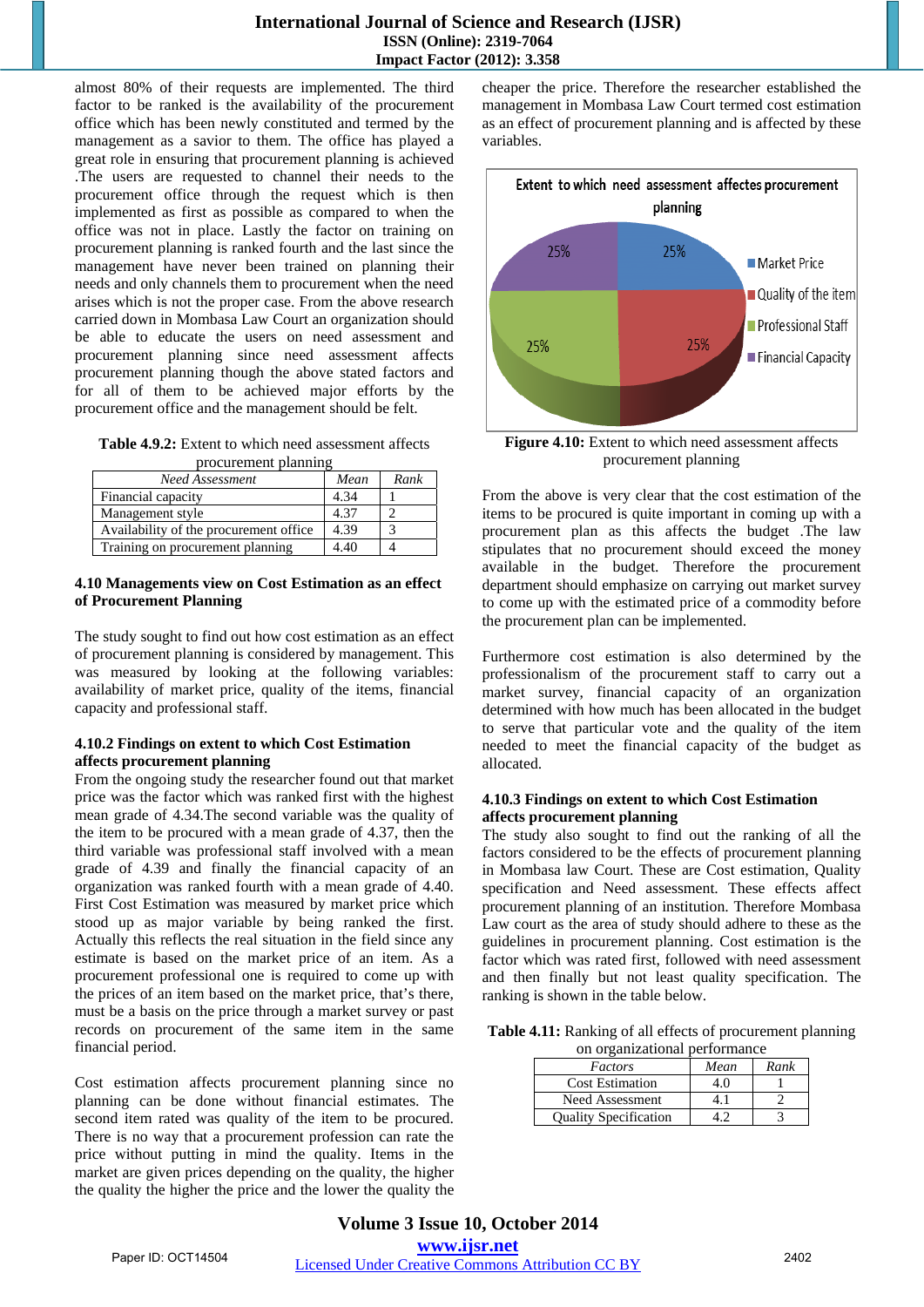almost 80% of their requests are implemented. The third factor to be ranked is the availability of the procurement office which has been newly constituted and termed by the management as a savior to them. The office has played a great role in ensuring that procurement planning is achieved .The users are requested to channel their needs to the procurement office through the request which is then implemented as first as possible as compared to when the office was not in place. Lastly the factor on training on procurement planning is ranked fourth and the last since the management have never been trained on planning their needs and only channels them to procurement when the need arises which is not the proper case. From the above research carried down in Mombasa Law Court an organization should be able to educate the users on need assessment and procurement planning since need assessment affects procurement planning though the above stated factors and for all of them to be achieved major efforts by the procurement office and the management should be felt.

**Table 4.9.2:** Extent to which need assessment affects procurement planning

| Need Assessment                        | Mean | Rank |  |  |  |
|----------------------------------------|------|------|--|--|--|
| Financial capacity                     | 4.34 |      |  |  |  |
| Management style                       | 4.37 |      |  |  |  |
| Availability of the procurement office | 4.39 |      |  |  |  |
| Training on procurement planning       | 4.40 |      |  |  |  |

#### **4.10 Managements view on Cost Estimation as an effect of Procurement Planning**

The study sought to find out how cost estimation as an effect of procurement planning is considered by management. This was measured by looking at the following variables: availability of market price, quality of the items, financial capacity and professional staff.

#### **4.10.2 Findings on extent to which Cost Estimation affects procurement planning**

From the ongoing study the researcher found out that market price was the factor which was ranked first with the highest mean grade of 4.34.The second variable was the quality of the item to be procured with a mean grade of 4.37, then the third variable was professional staff involved with a mean grade of 4.39 and finally the financial capacity of an organization was ranked fourth with a mean grade of 4.40. First Cost Estimation was measured by market price which stood up as major variable by being ranked the first. Actually this reflects the real situation in the field since any estimate is based on the market price of an item. As a procurement professional one is required to come up with the prices of an item based on the market price, that's there, must be a basis on the price through a market survey or past records on procurement of the same item in the same financial period.

Cost estimation affects procurement planning since no planning can be done without financial estimates. The second item rated was quality of the item to be procured. There is no way that a procurement profession can rate the price without putting in mind the quality. Items in the market are given prices depending on the quality, the higher the quality the higher the price and the lower the quality the cheaper the price. Therefore the researcher established the management in Mombasa Law Court termed cost estimation as an effect of procurement planning and is affected by these variables.



Figure 4.10: Extent to which need assessment affects procurement planning

From the above is very clear that the cost estimation of the items to be procured is quite important in coming up with a procurement plan as this affects the budget .The law stipulates that no procurement should exceed the money available in the budget. Therefore the procurement department should emphasize on carrying out market survey to come up with the estimated price of a commodity before the procurement plan can be implemented.

Furthermore cost estimation is also determined by the professionalism of the procurement staff to carry out a market survey, financial capacity of an organization determined with how much has been allocated in the budget to serve that particular vote and the quality of the item needed to meet the financial capacity of the budget as allocated.

#### **4.10.3 Findings on extent to which Cost Estimation affects procurement planning**

The study also sought to find out the ranking of all the factors considered to be the effects of procurement planning in Mombasa law Court. These are Cost estimation, Quality specification and Need assessment. These effects affect procurement planning of an institution. Therefore Mombasa Law court as the area of study should adhere to these as the guidelines in procurement planning. Cost estimation is the factor which was rated first, followed with need assessment and then finally but not least quality specification. The ranking is shown in the table below.

**Table 4.11:** Ranking of all effects of procurement planning on organizational performance

| on organizational performance |      |      |
|-------------------------------|------|------|
| Factors                       | Mean | Rank |
| <b>Cost Estimation</b>        | 4.0  |      |
| Need Assessment               |      |      |
| <b>Quality Specification</b>  |      |      |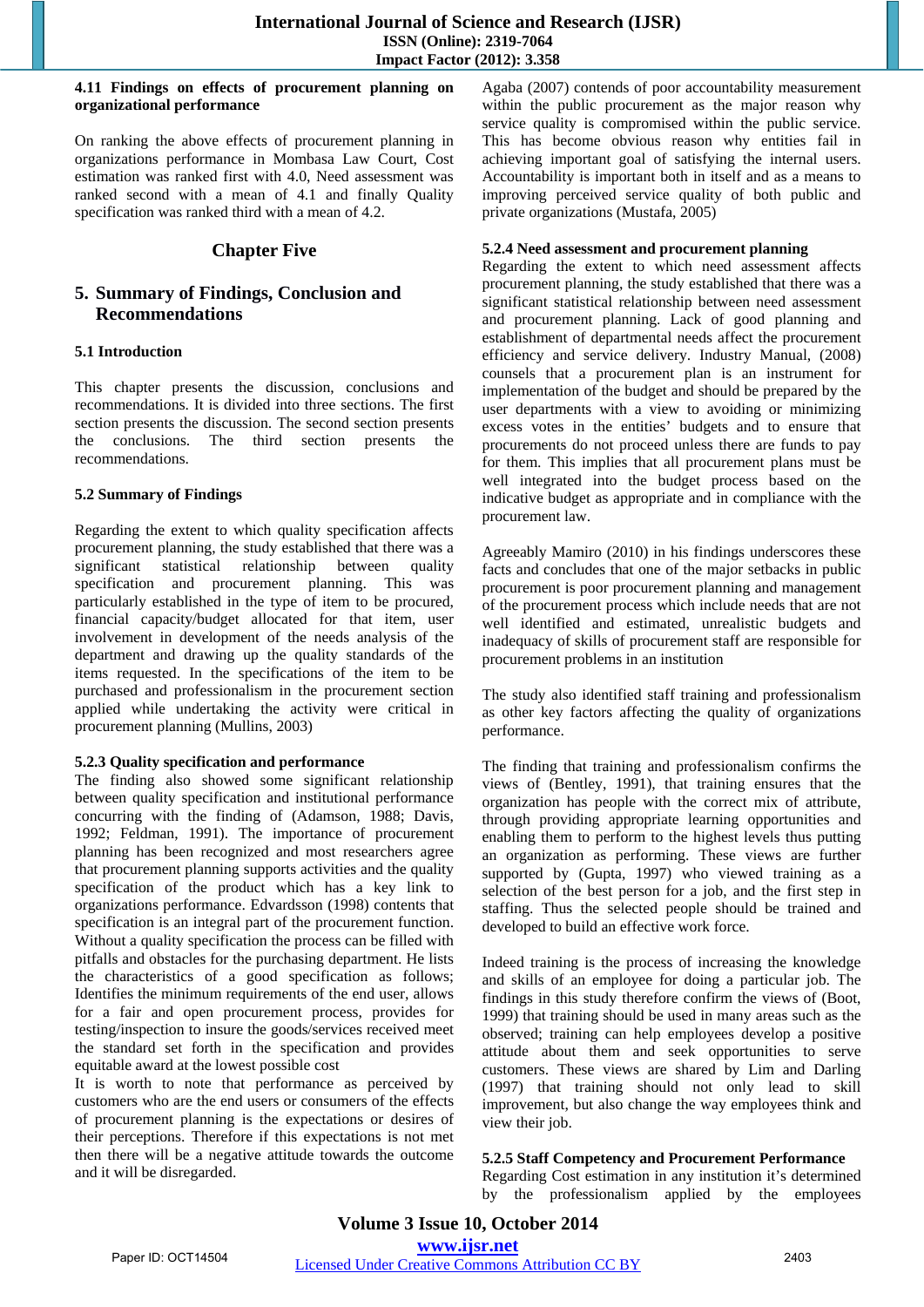#### **4.11 Findings on effects of procurement planning on organizational performance**

On ranking the above effects of procurement planning in organizations performance in Mombasa Law Court, Cost estimation was ranked first with 4.0, Need assessment was ranked second with a mean of 4.1 and finally Quality specification was ranked third with a mean of 4.2.

## **Chapter Five**

# **5. Summary of Findings, Conclusion and Recommendations**

#### **5.1 Introduction**

This chapter presents the discussion, conclusions and recommendations. It is divided into three sections. The first section presents the discussion. The second section presents the conclusions. The third section presents the recommendations.

#### **5.2 Summary of Findings**

Regarding the extent to which quality specification affects procurement planning, the study established that there was a significant statistical relationship between quality specification and procurement planning. This was particularly established in the type of item to be procured, financial capacity/budget allocated for that item, user involvement in development of the needs analysis of the department and drawing up the quality standards of the items requested. In the specifications of the item to be purchased and professionalism in the procurement section applied while undertaking the activity were critical in procurement planning (Mullins, 2003)

#### **5.2.3 Quality specification and performance**

The finding also showed some significant relationship between quality specification and institutional performance concurring with the finding of (Adamson, 1988; Davis, 1992; Feldman, 1991). The importance of procurement planning has been recognized and most researchers agree that procurement planning supports activities and the quality specification of the product which has a key link to organizations performance. Edvardsson (1998) contents that specification is an integral part of the procurement function. Without a quality specification the process can be filled with pitfalls and obstacles for the purchasing department. He lists the characteristics of a good specification as follows; Identifies the minimum requirements of the end user, allows for a fair and open procurement process, provides for testing/inspection to insure the goods/services received meet the standard set forth in the specification and provides equitable award at the lowest possible cost

It is worth to note that performance as perceived by customers who are the end users or consumers of the effects of procurement planning is the expectations or desires of their perceptions. Therefore if this expectations is not met then there will be a negative attitude towards the outcome and it will be disregarded.

Agaba (2007) contends of poor accountability measurement within the public procurement as the major reason why service quality is compromised within the public service. This has become obvious reason why entities fail in achieving important goal of satisfying the internal users. Accountability is important both in itself and as a means to improving perceived service quality of both public and private organizations (Mustafa, 2005)

#### **5.2.4 Need assessment and procurement planning**

Regarding the extent to which need assessment affects procurement planning, the study established that there was a significant statistical relationship between need assessment and procurement planning. Lack of good planning and establishment of departmental needs affect the procurement efficiency and service delivery. Industry Manual, (2008) counsels that a procurement plan is an instrument for implementation of the budget and should be prepared by the user departments with a view to avoiding or minimizing excess votes in the entities' budgets and to ensure that procurements do not proceed unless there are funds to pay for them. This implies that all procurement plans must be well integrated into the budget process based on the indicative budget as appropriate and in compliance with the procurement law.

Agreeably Mamiro (2010) in his findings underscores these facts and concludes that one of the major setbacks in public procurement is poor procurement planning and management of the procurement process which include needs that are not well identified and estimated, unrealistic budgets and inadequacy of skills of procurement staff are responsible for procurement problems in an institution

The study also identified staff training and professionalism as other key factors affecting the quality of organizations performance.

The finding that training and professionalism confirms the views of (Bentley, 1991), that training ensures that the organization has people with the correct mix of attribute, through providing appropriate learning opportunities and enabling them to perform to the highest levels thus putting an organization as performing. These views are further supported by (Gupta, 1997) who viewed training as a selection of the best person for a job, and the first step in staffing. Thus the selected people should be trained and developed to build an effective work force.

Indeed training is the process of increasing the knowledge and skills of an employee for doing a particular job. The findings in this study therefore confirm the views of (Boot, 1999) that training should be used in many areas such as the observed; training can help employees develop a positive attitude about them and seek opportunities to serve customers. These views are shared by Lim and Darling (1997) that training should not only lead to skill improvement, but also change the way employees think and view their job.

#### **5.2.5 Staff Competency and Procurement Performance**

Regarding Cost estimation in any institution it's determined by the professionalism applied by the employees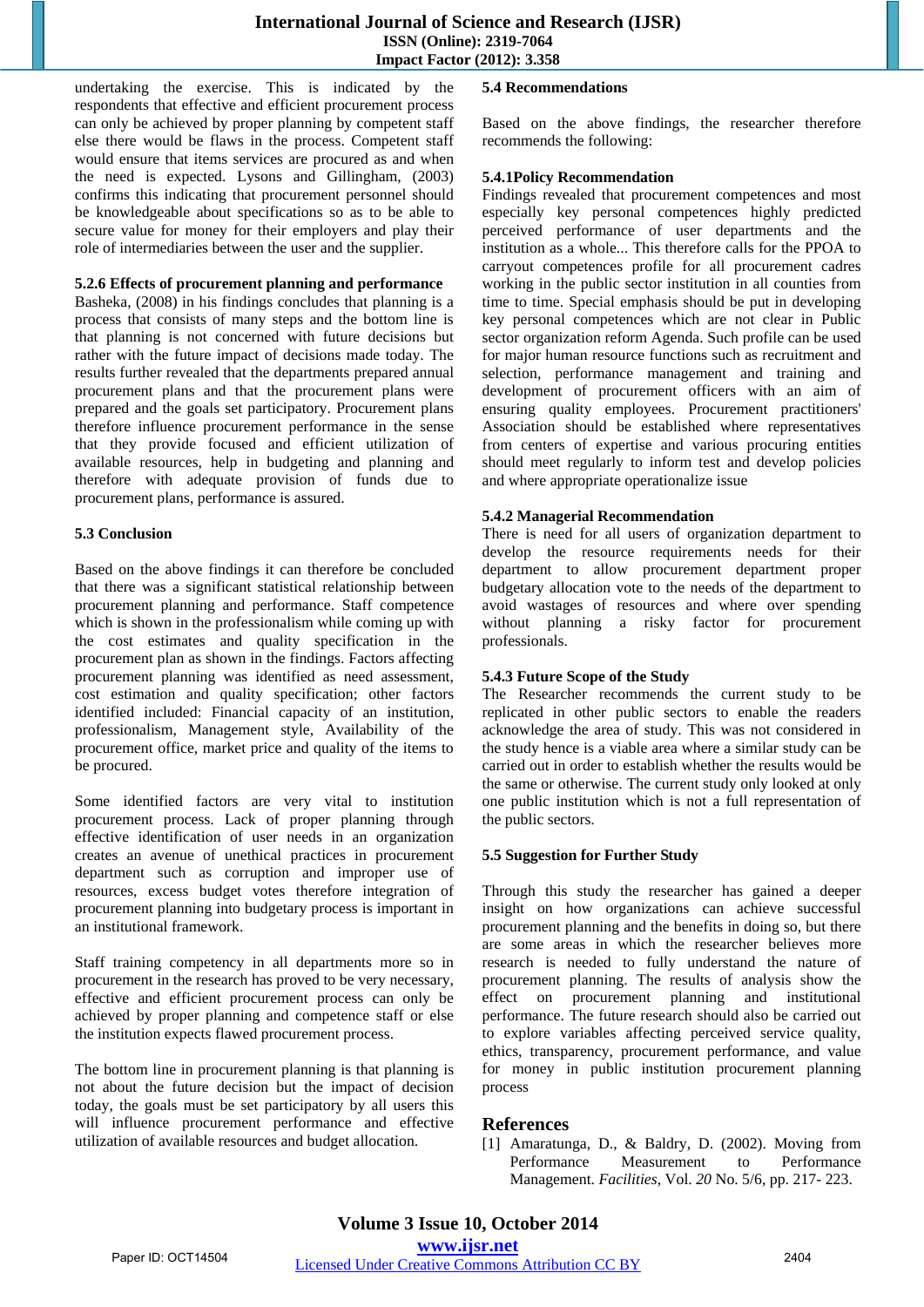undertaking the exercise. This is indicated by the respondents that effective and efficient procurement process can only be achieved by proper planning by competent staff else there would be flaws in the process. Competent staff would ensure that items services are procured as and when the need is expected. Lysons and Gillingham, (2003) confirms this indicating that procurement personnel should be knowledgeable about specifications so as to be able to secure value for money for their employers and play their role of intermediaries between the user and the supplier.

#### **5.2.6 Effects of procurement planning and performance**

Basheka, (2008) in his findings concludes that planning is a process that consists of many steps and the bottom line is that planning is not concerned with future decisions but rather with the future impact of decisions made today. The results further revealed that the departments prepared annual procurement plans and that the procurement plans were prepared and the goals set participatory. Procurement plans therefore influence procurement performance in the sense that they provide focused and efficient utilization of available resources, help in budgeting and planning and therefore with adequate provision of funds due to procurement plans, performance is assured.

#### **5.3 Conclusion**

Based on the above findings it can therefore be concluded that there was a significant statistical relationship between procurement planning and performance. Staff competence which is shown in the professionalism while coming up with the cost estimates and quality specification in the procurement plan as shown in the findings. Factors affecting procurement planning was identified as need assessment, cost estimation and quality specification; other factors identified included: Financial capacity of an institution, professionalism, Management style, Availability of the procurement office, market price and quality of the items to be procured.

Some identified factors are very vital to institution procurement process. Lack of proper planning through effective identification of user needs in an organization creates an avenue of unethical practices in procurement department such as corruption and improper use of resources, excess budget votes therefore integration of procurement planning into budgetary process is important in an institutional framework.

Staff training competency in all departments more so in procurement in the research has proved to be very necessary, effective and efficient procurement process can only be achieved by proper planning and competence staff or else the institution expects flawed procurement process.

The bottom line in procurement planning is that planning is not about the future decision but the impact of decision today, the goals must be set participatory by all users this will influence procurement performance and effective utilization of available resources and budget allocation.

#### **5.4 Recommendations**

Based on the above findings, the researcher therefore recommends the following:

#### **5.4.1Policy Recommendation**

Findings revealed that procurement competences and most especially key personal competences highly predicted perceived performance of user departments and the institution as a whole... This therefore calls for the PPOA to carryout competences profile for all procurement cadres working in the public sector institution in all counties from time to time. Special emphasis should be put in developing key personal competences which are not clear in Public sector organization reform Agenda. Such profile can be used for major human resource functions such as recruitment and selection, performance management and training and development of procurement officers with an aim of ensuring quality employees. Procurement practitioners' Association should be established where representatives from centers of expertise and various procuring entities should meet regularly to inform test and develop policies and where appropriate operationalize issue

#### **5.4.2 Managerial Recommendation**

There is need for all users of organization department to develop the resource requirements needs for their department to allow procurement department proper budgetary allocation vote to the needs of the department to avoid wastages of resources and where over spending without planning a risky factor for procurement professionals.

#### **5.4.3 Future Scope of the Study**

The Researcher recommends the current study to be replicated in other public sectors to enable the readers acknowledge the area of study. This was not considered in the study hence is a viable area where a similar study can be carried out in order to establish whether the results would be the same or otherwise. The current study only looked at only one public institution which is not a full representation of the public sectors.

#### **5.5 Suggestion for Further Study**

Through this study the researcher has gained a deeper insight on how organizations can achieve successful procurement planning and the benefits in doing so, but there are some areas in which the researcher believes more research is needed to fully understand the nature of procurement planning. The results of analysis show the effect on procurement planning and institutional performance. The future research should also be carried out to explore variables affecting perceived service quality, ethics, transparency, procurement performance, and value for money in public institution procurement planning process

#### **References**

[1] Amaratunga, D., & Baldry, D. (2002). Moving from Performance Measurement to Performance Management. *Facilities*, Vol. *20* No. 5/6, pp. 217- 223.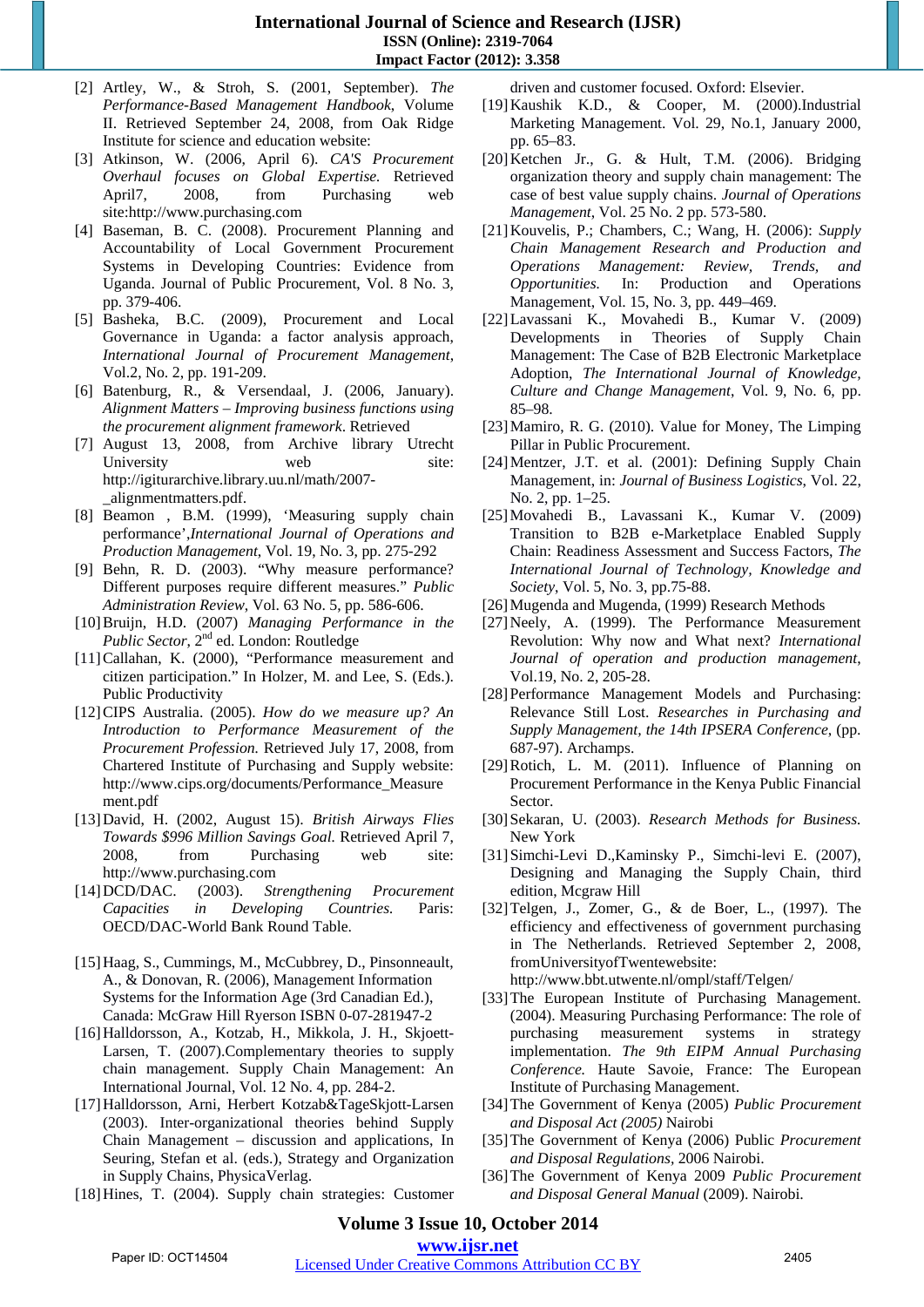- [2] Artley, W., & Stroh, S. (2001, September). *The Performance-Based Management Handbook*, Volume II. Retrieved September 24, 2008, from Oak Ridge Institute for science and education website:
- [3] Atkinson, W. (2006, April 6). *CA'S Procurement Overhaul focuses on Global Expertise.* Retrieved April7, 2008, from Purchasing web site:http://www.purchasing.com
- [4] Baseman, B. C. (2008). Procurement Planning and Accountability of Local Government Procurement Systems in Developing Countries: Evidence from Uganda. Journal of Public Procurement, Vol. 8 No. 3, pp. 379-406.
- [5] Basheka, B.C. (2009), Procurement and Local Governance in Uganda: a factor analysis approach, *International Journal of Procurement Management*, Vol.2, No. 2, pp. 191-209.
- [6] Batenburg, R., & Versendaal, J. (2006, January). *Alignment Matters – Improving business functions using the procurement alignment framework*. Retrieved
- [7] August 13, 2008, from Archive library Utrecht University web site: http://igiturarchive.library.uu.nl/math/2007- \_alignmentmatters.pdf.
- [8] Beamon , B.M. (1999), 'Measuring supply chain performance',*International Journal of Operations and Production Management*, Vol. 19, No. 3, pp. 275-292
- [9] Behn, R. D. (2003). "Why measure performance? Different purposes require different measures." *Public Administration Review*, Vol. 63 No. 5, pp. 586-606.
- [10]Bruijn, H.D. (2007) *Managing Performance in the Public Sector*, 2<sup>nd</sup> ed. London: Routledge
- [11]Callahan, K. (2000), "Performance measurement and citizen participation." In Holzer, M. and Lee, S. (Eds.). Public Productivity
- [12]CIPS Australia. (2005). *How do we measure up? An Introduction to Performance Measurement of the Procurement Profession.* Retrieved July 17, 2008, from Chartered Institute of Purchasing and Supply website: http://www.cips.org/documents/Performance\_Measure ment.pdf
- [13]David, H. (2002, August 15). *British Airways Flies Towards \$996 Million Savings Goal.* Retrieved April 7, 2008, from Purchasing web site: http://www.purchasing.com
- [14]DCD/DAC. (2003). *Strengthening Procurement Capacities in Developing Countries.* Paris: OECD/DAC-World Bank Round Table.
- [15]Haag, S., Cummings, M., McCubbrey, D., Pinsonneault, A., & Donovan, R. (2006), Management Information Systems for the Information Age (3rd Canadian Ed.), Canada: McGraw Hill Ryerson ISBN 0-07-281947-2
- [16]Halldorsson, A., Kotzab, H., Mikkola, J. H., Skjoett-Larsen, T. (2007).Complementary theories to supply chain management. Supply Chain Management: An International Journal, Vol. 12 No. 4, pp. 284-2.
- [17]Halldorsson, Arni, Herbert Kotzab&TageSkjott-Larsen (2003). Inter-organizational theories behind Supply Chain Management – discussion and applications, In Seuring, Stefan et al. (eds.), Strategy and Organization in Supply Chains, PhysicaVerlag.
- [18]Hines, T. (2004). Supply chain strategies: Customer

driven and customer focused. Oxford: Elsevier.

- [19]Kaushik K.D., & Cooper, M. (2000).Industrial Marketing Management. Vol. 29, No.1, January 2000, pp. 65–83.
- [20]Ketchen Jr., G. & Hult, T.M. (2006). Bridging organization theory and supply chain management: The case of best value supply chains. *Journal of Operations Management*, Vol. 25 No. 2 pp. 573-580.
- [21]Kouvelis, P.; Chambers, C.; Wang, H. (2006): *Supply Chain Management Research and Production and Operations Management: Review, Trends, and Opportunities.* In: Production and Operations Management, Vol. 15, No. 3, pp. 449–469.
- [22]Lavassani K., Movahedi B., Kumar V. (2009) Developments in Theories of Supply Chain Management: The Case of B2B Electronic Marketplace Adoption, *The International Journal of Knowledge, Culture and Change Management*, Vol. 9, No. 6, pp. 85–98.
- [23] Mamiro, R. G. (2010). Value for Money, The Limping Pillar in Public Procurement.
- [24] Mentzer, J.T. et al. (2001): Defining Supply Chain Management, in: *Journal of Business Logistics*, Vol. 22, No. 2, pp. 1–25.
- [25]Movahedi B., Lavassani K., Kumar V. (2009) Transition to B2B e-Marketplace Enabled Supply Chain: Readiness Assessment and Success Factors, *The International Journal of Technology, Knowledge and Society*, Vol. 5, No. 3, pp.75-88.
- [26]Mugenda and Mugenda, (1999) Research Methods
- [27]Neely, A. (1999). The Performance Measurement Revolution: Why now and What next? *International Journal of operation and production management*, Vol.19, No. 2, 205-28.
- [28]Performance Management Models and Purchasing: Relevance Still Lost. *Researches in Purchasing and Supply Management, the 14th IPSERA Conference*, (pp. 687-97). Archamps.
- [29]Rotich, L. M. (2011). Influence of Planning on Procurement Performance in the Kenya Public Financial Sector.
- [30]Sekaran, U. (2003). *Research Methods for Business.*  New York
- [31]Simchi-Levi D.,Kaminsky P., Simchi-levi E. (2007), Designing and Managing the Supply Chain, third edition, Mcgraw Hill
- [32]Telgen, J., Zomer, G., & de Boer, L., (1997). The efficiency and effectiveness of government purchasing in The Netherlands. Retrieved *S*eptember 2, 2008, fromUniversityofTwentewebsite: http://www.bbt.utwente.nl/ompl/staff/Telgen/
- [33] The European Institute of Purchasing Management. (2004). Measuring Purchasing Performance: The role of purchasing measurement systems in strategy implementation. *The 9th EIPM Annual Purchasing Conference.* Haute Savoie, France: The European Institute of Purchasing Management.
- [34]The Government of Kenya (2005) *Public Procurement and Disposal Act (2005)* Nairobi
- [35]The Government of Kenya (2006) Public *Procurement and Disposal Regulations,* 2006 Nairobi.
- [36]The Government of Kenya 2009 *Public Procurement and Disposal General Manual* (2009). Nairobi.

# **Volume 3 Issue 10, October 2014**

**www.ijsr.net**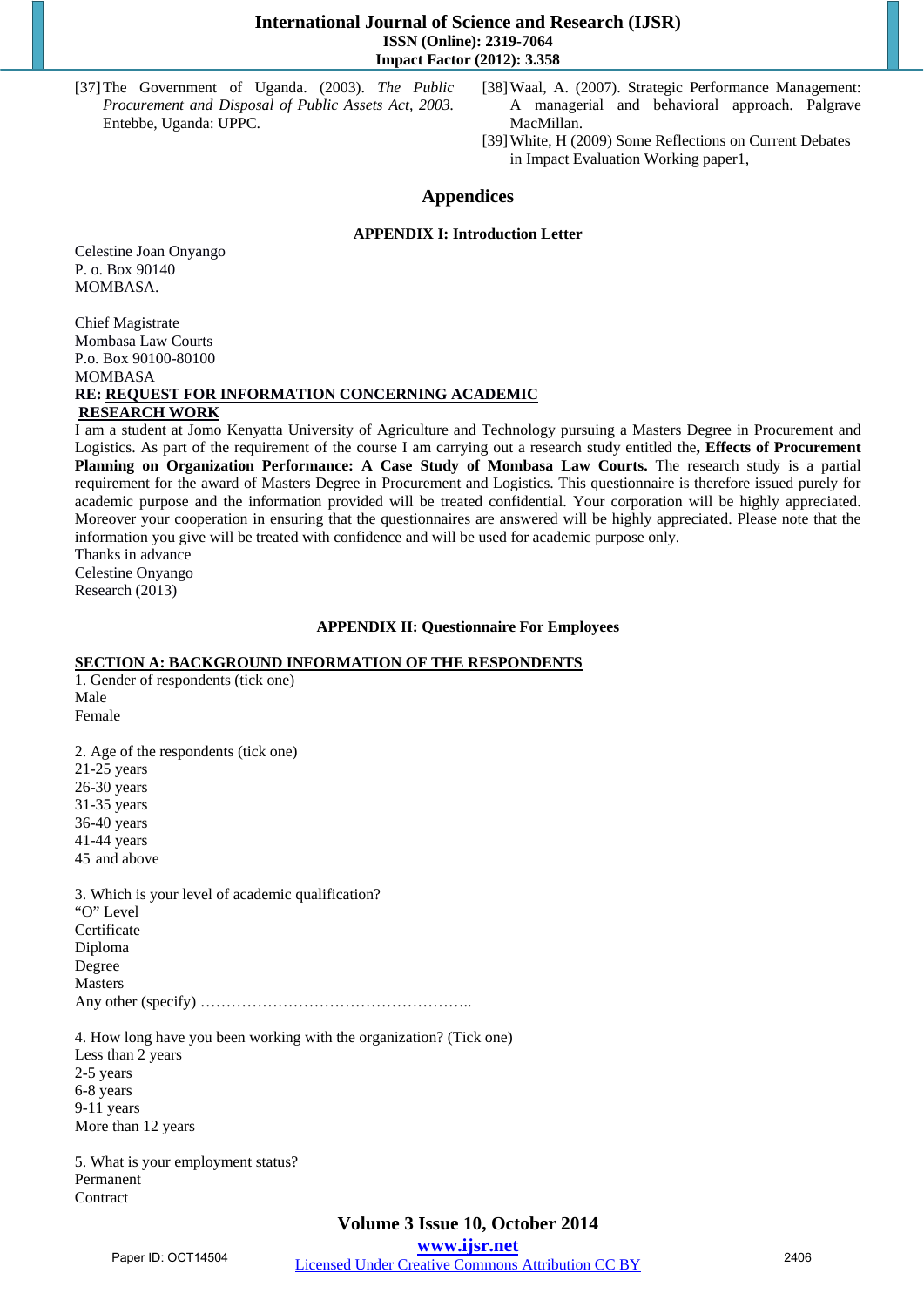[37]The Government of Uganda. (2003). *The Public Procurement and Disposal of Public Assets Act, 2003.*  Entebbe, Uganda: UPPC.

- [38]Waal, A. (2007). Strategic Performance Management: A managerial and behavioral approach. Palgrave MacMillan.
- [39]White, H (2009) Some Reflections on Current Debates in Impact Evaluation Working paper1,

#### **Appendices**

#### **APPENDIX I: Introduction Letter**

Celestine Joan Onyango P. o. Box 90140 MOMBASA.

Chief Magistrate Mombasa Law Courts P.o. Box 90100-80100 MOMBASA **RE: REQUEST FOR INFORMATION CONCERNING ACADEMIC RESEARCH WORK**

I am a student at Jomo Kenyatta University of Agriculture and Technology pursuing a Masters Degree in Procurement and Logistics. As part of the requirement of the course I am carrying out a research study entitled the**, Effects of Procurement Planning on Organization Performance: A Case Study of Mombasa Law Courts.** The research study is a partial requirement for the award of Masters Degree in Procurement and Logistics. This questionnaire is therefore issued purely for academic purpose and the information provided will be treated confidential. Your corporation will be highly appreciated. Moreover your cooperation in ensuring that the questionnaires are answered will be highly appreciated. Please note that the information you give will be treated with confidence and will be used for academic purpose only. Thanks in advance

Celestine Onyango Research (2013)

#### **APPENDIX II: Questionnaire For Employees**

#### **SECTION A: BACKGROUND INFORMATION OF THE RESPONDENTS**

1. Gender of respondents (tick one) Male Female 2. Age of the respondents (tick one) 21-25 years 26-30 years 31-35 years 36-40 years

41-44 years 45 and above

3. Which is your level of academic qualification? "O" Level **Certificate** Diploma Degree **Masters** Any other (specify) ……………………………………………..

4. How long have you been working with the organization? (Tick one) Less than 2 years 2-5 years 6-8 years 9-11 years More than 12 years

5. What is your employment status? Permanent **Contract**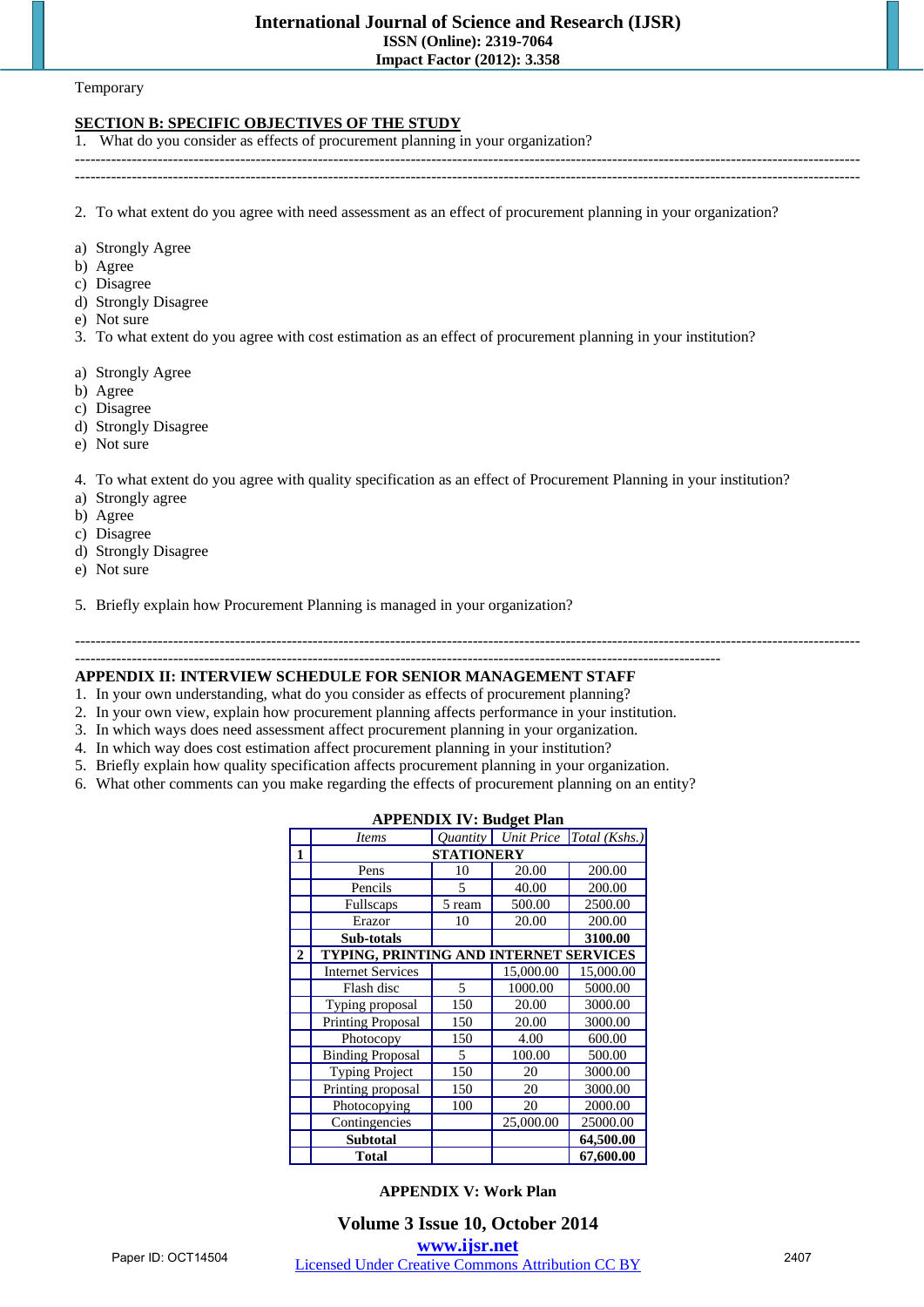Temporary

#### **SECTION B: SPECIFIC OBJECTIVES OF THE STUDY**

1. What do you consider as effects of procurement planning in your organization?

-------------------------------------------------------------------------------------------------------------------------------------------------------- --------------------------------------------------------------------------------------------------------------------------------------------------------

2. To what extent do you agree with need assessment as an effect of procurement planning in your organization?

- a) Strongly Agree
- b) Agree
- c) Disagree
- d) Strongly Disagree
- e) Not sure

3. To what extent do you agree with cost estimation as an effect of procurement planning in your institution?

- a) Strongly Agree
- b) Agree
- c) Disagree
- d) Strongly Disagree
- e) Not sure

4. To what extent do you agree with quality specification as an effect of Procurement Planning in your institution?

- a) Strongly agree
- b) Agree
- c) Disagree
- d) Strongly Disagree
- e) Not sure

5. Briefly explain how Procurement Planning is managed in your organization?

#### ----------------------------------------------------------------------------------------------------------------------------- **APPENDIX II: INTERVIEW SCHEDULE FOR SENIOR MANAGEMENT STAFF**

- 1. In your own understanding, what do you consider as effects of procurement planning?
- 2. In your own view, explain how procurement planning affects performance in your institution.
- 3. In which ways does need assessment affect procurement planning in your organization.
- 4. In which way does cost estimation affect procurement planning in your institution?
- 5. Briefly explain how quality specification affects procurement planning in your organization.
- 6. What other comments can you make regarding the effects of procurement planning on an entity?

#### **APPENDIX IV: Budget Plan**

--------------------------------------------------------------------------------------------------------------------------------------------------------

|                | <i>Items</i>                           | $O$ uantity | <b>Unit Price</b> | Total (Kshs.) |  |  |  |
|----------------|----------------------------------------|-------------|-------------------|---------------|--|--|--|
| 1              | <b>STATIONERY</b>                      |             |                   |               |  |  |  |
|                | Pens                                   | 10          | 20.00             | 200.00        |  |  |  |
|                | Pencils                                | 5           | 40.00             | 200.00        |  |  |  |
|                | Fullscaps                              | 5 ream      | 500.00            | 2500.00       |  |  |  |
|                | Erazor                                 | 10          | 20.00             | 200.00        |  |  |  |
|                | Sub-totals                             |             |                   | 3100.00       |  |  |  |
| $\overline{2}$ | TYPING, PRINTING AND INTERNET SERVICES |             |                   |               |  |  |  |
|                | <b>Internet Services</b>               |             | 15,000.00         | 15,000.00     |  |  |  |
|                | Flash disc                             | 5           | 1000.00           | 5000.00       |  |  |  |
|                | Typing proposal                        | 150         | 20.00             | 3000.00       |  |  |  |
|                | <b>Printing Proposal</b>               | 150         | 20.00             | 3000.00       |  |  |  |
|                | Photocopy                              | 150         | 4.00              | 600.00        |  |  |  |
|                | <b>Binding Proposal</b>                | 5           | 100.00            | 500.00        |  |  |  |
|                | <b>Typing Project</b>                  | 150         | 20                | 3000.00       |  |  |  |
|                | Printing proposal                      | 150         | 20                | 3000.00       |  |  |  |
|                | Photocopying                           | 100         | 20                | 2000.00       |  |  |  |
|                | Contingencies                          |             | 25,000.00         | 25000.00      |  |  |  |
|                | Subtotal                               |             |                   | 64,500.00     |  |  |  |
|                | <b>Total</b>                           |             |                   | 67,600.00     |  |  |  |

#### **APPENDIX V: Work Plan**